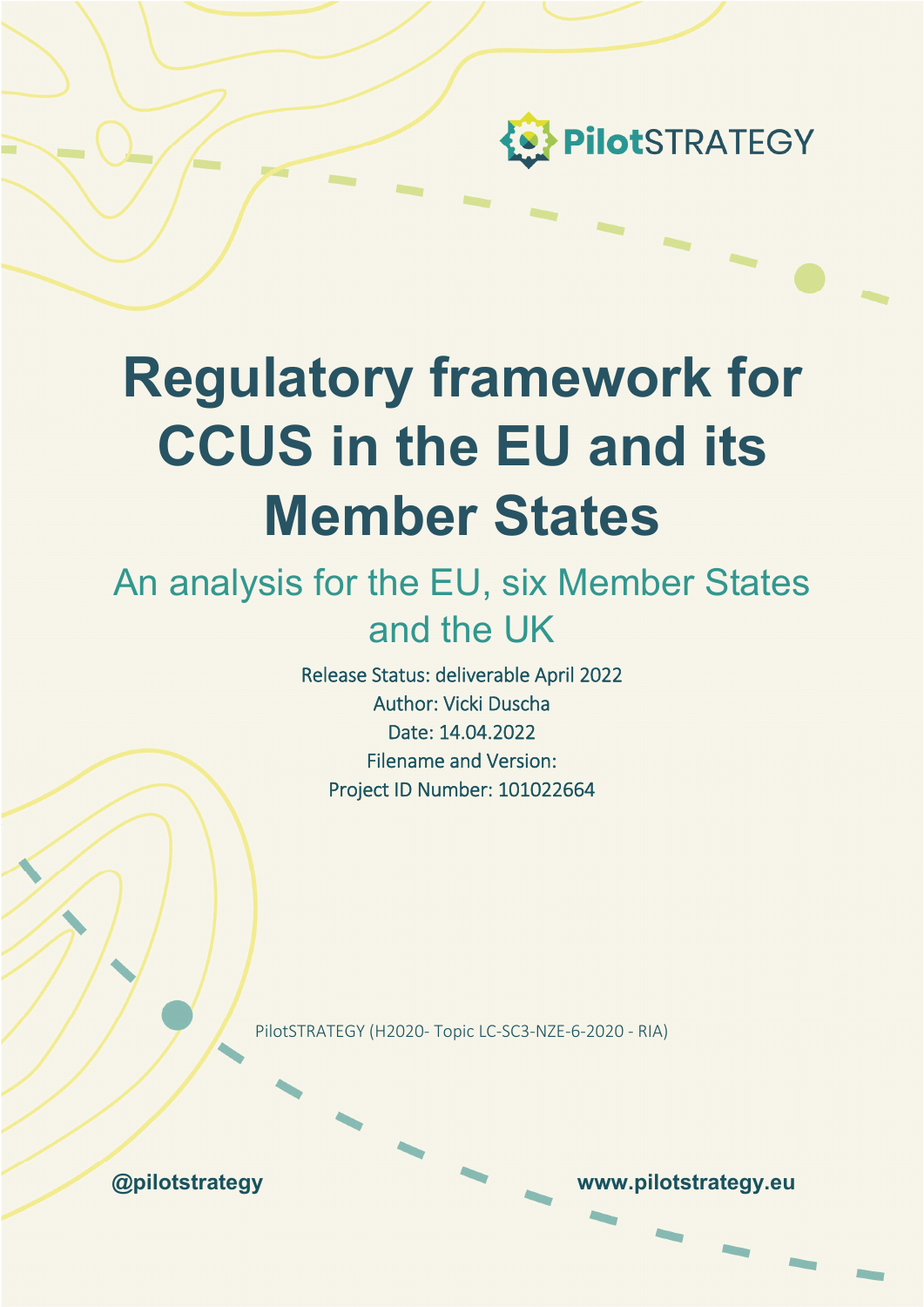

# **Regulatory framework for CCUS in the EU and its Member States**

# An analysis for the EU, six Member States and the UK

Release Status: deliverable April 2022 Author: Vicki Duscha Date: 14.04.2022 Filename and Version: Project ID Number: 101022664

PilotSTRATEGY (H2020‐ Topic LC‐SC3‐NZE‐6‐2020 ‐ RIA)

**@pilotstrategy www.pilotstrategy.eu**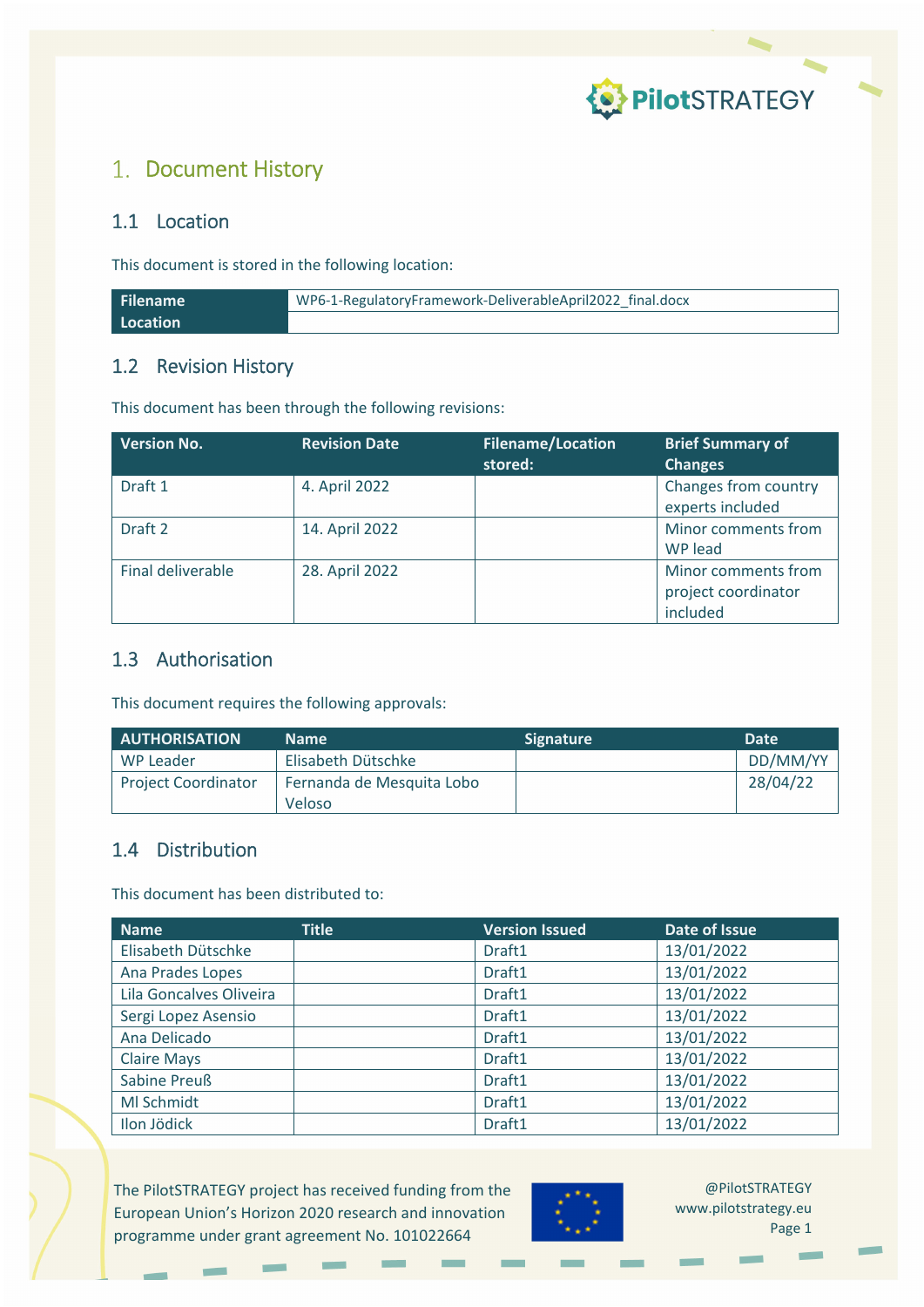

### 1. Document History

### 1.1 Location

This document is stored in the following location:

| <b>Filename</b> | WP6-1-RegulatoryFramework-DeliverableApril2022 final.docx |  |
|-----------------|-----------------------------------------------------------|--|
| Location        |                                                           |  |

### 1.2 Revision History

This document has been through the following revisions:

| <b>Version No.</b> | <b>Revision Date</b> | <b>Filename/Location</b><br>stored: | <b>Brief Summary of</b><br><b>Changes</b>              |
|--------------------|----------------------|-------------------------------------|--------------------------------------------------------|
| Draft 1            | 4. April 2022        |                                     | Changes from country<br>experts included               |
| Draft 2            | 14. April 2022       |                                     | Minor comments from<br>WP lead                         |
| Final deliverable  | 28. April 2022       |                                     | Minor comments from<br>project coordinator<br>included |

### 1.3 Authorisation

This document requires the following approvals:

| <b>AUTHORISATION</b>       | <b>Name</b>               | <b>Signature</b> | <b>Date</b> |
|----------------------------|---------------------------|------------------|-------------|
| WP Leader                  | Elisabeth Dütschke        |                  | DD/MM/YY    |
| <b>Project Coordinator</b> | Fernanda de Mesquita Lobo |                  | 28/04/22    |
|                            | Veloso                    |                  |             |

### 1.4 Distribution

This document has been distributed to:

| <b>Name</b>             | <b>Title</b> | <b>Version Issued</b> | Date of Issue |
|-------------------------|--------------|-----------------------|---------------|
| Elisabeth Dütschke      |              | Draft1                | 13/01/2022    |
| Ana Prades Lopes        |              | Draft1                | 13/01/2022    |
| Lila Goncalves Oliveira |              | Draft1                | 13/01/2022    |
| Sergi Lopez Asensio     |              | Draft1                | 13/01/2022    |
| Ana Delicado            |              | Draft1                | 13/01/2022    |
| <b>Claire Mays</b>      |              | Draft1                | 13/01/2022    |
| <b>Sabine Preuß</b>     |              | Draft1                | 13/01/2022    |
| MI Schmidt              |              | Draft1                | 13/01/2022    |
| Ilon Jödick             |              | Draft1                | 13/01/2022    |

The PilotSTRATEGY project has received funding from the European Union's Horizon 2020 research and innovation programme under grant agreement No. 101022664

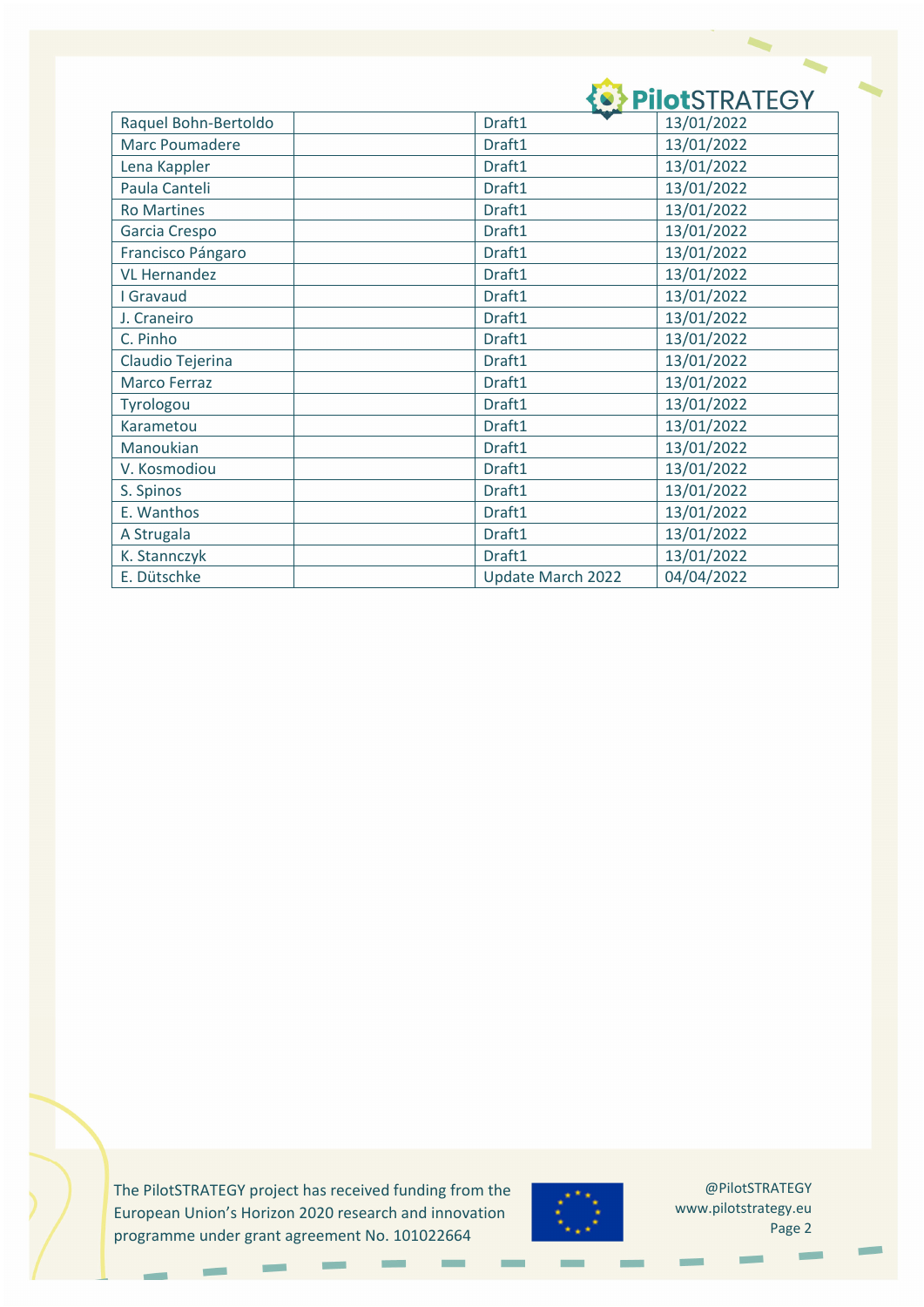# **O PIIOTSTRATEGY**

| Raquel Bohn-Bertoldo | Draft1            | 13/01/2022 |
|----------------------|-------------------|------------|
| Marc Poumadere       | Draft1            | 13/01/2022 |
| Lena Kappler         | Draft1            | 13/01/2022 |
| Paula Canteli        | Draft1            | 13/01/2022 |
| <b>Ro Martines</b>   | Draft1            | 13/01/2022 |
| Garcia Crespo        | Draft1            | 13/01/2022 |
| Francisco Pángaro    | Draft1            | 13/01/2022 |
| <b>VL Hernandez</b>  | Draft1            | 13/01/2022 |
| I Gravaud            | Draft1            | 13/01/2022 |
| J. Craneiro          | Draft1            | 13/01/2022 |
| C. Pinho             | Draft1            | 13/01/2022 |
| Claudio Tejerina     | Draft1            | 13/01/2022 |
| <b>Marco Ferraz</b>  | Draft1            | 13/01/2022 |
| Tyrologou            | Draft1            | 13/01/2022 |
| Karametou            | Draft1            | 13/01/2022 |
| Manoukian            | Draft1            | 13/01/2022 |
| V. Kosmodiou         | Draft1            | 13/01/2022 |
| S. Spinos            | Draft1            | 13/01/2022 |
| E. Wanthos           | Draft1            | 13/01/2022 |
| A Strugala           | Draft1            | 13/01/2022 |
| K. Stannczyk         | Draft1            | 13/01/2022 |
| E. Dütschke          | Update March 2022 | 04/04/2022 |

The PilotSTRATEGY project has received funding from the European Union's Horizon 2020 research and innovation programme under grant agreement No. 101022664

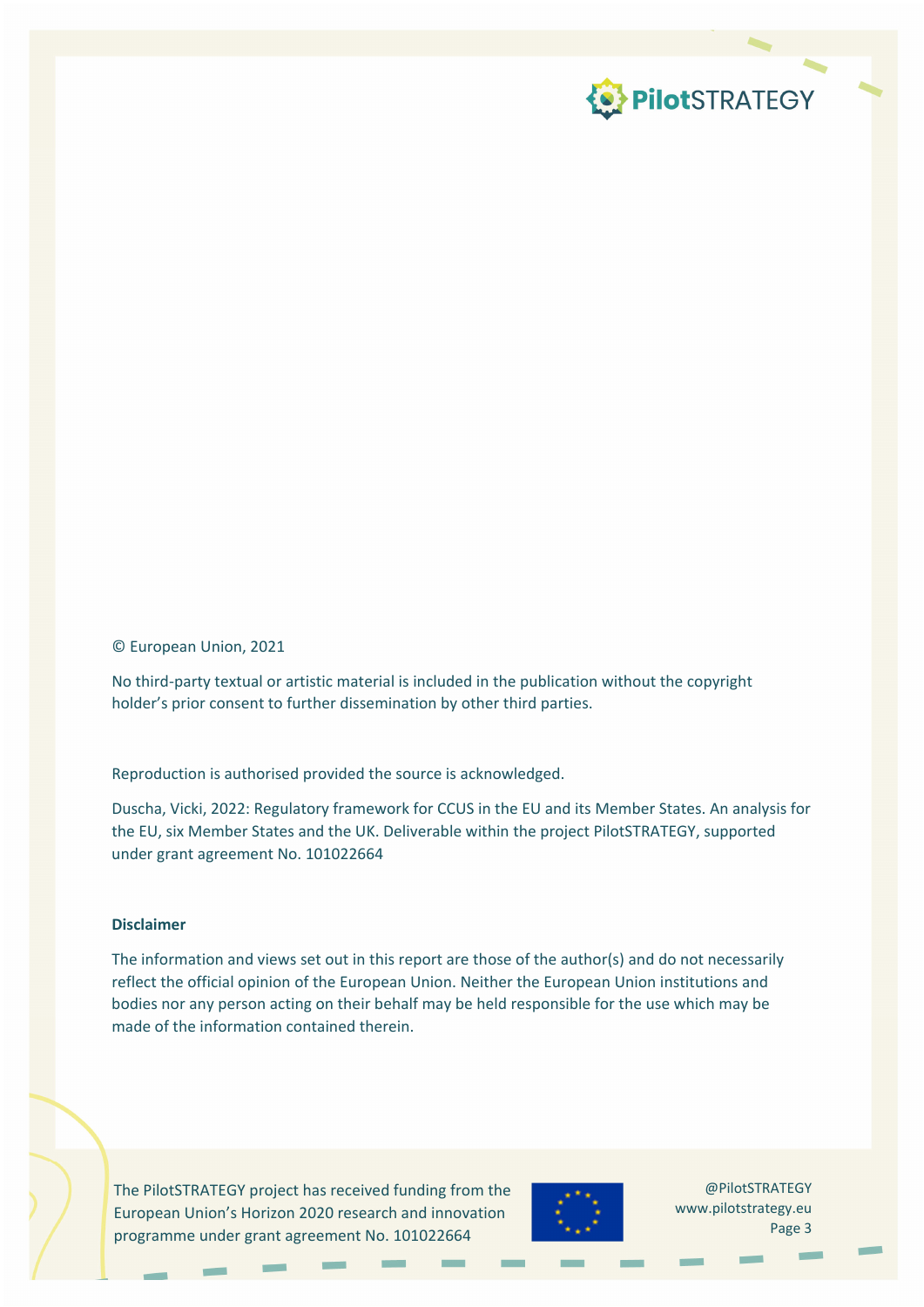

#### © European Union, 2021

No third‐party textual or artistic material is included in the publication without the copyright holder's prior consent to further dissemination by other third parties.

Reproduction is authorised provided the source is acknowledged.

Duscha, Vicki, 2022: Regulatory framework for CCUS in the EU and its Member States. An analysis for the EU, six Member States and the UK. Deliverable within the project PilotSTRATEGY, supported under grant agreement No. 101022664

#### **Disclaimer**

The information and views set out in this report are those of the author(s) and do not necessarily reflect the official opinion of the European Union. Neither the European Union institutions and bodies nor any person acting on their behalf may be held responsible for the use which may be made of the information contained therein.

The PilotSTRATEGY project has received funding from the European Union's Horizon 2020 research and innovation programme under grant agreement No. 101022664

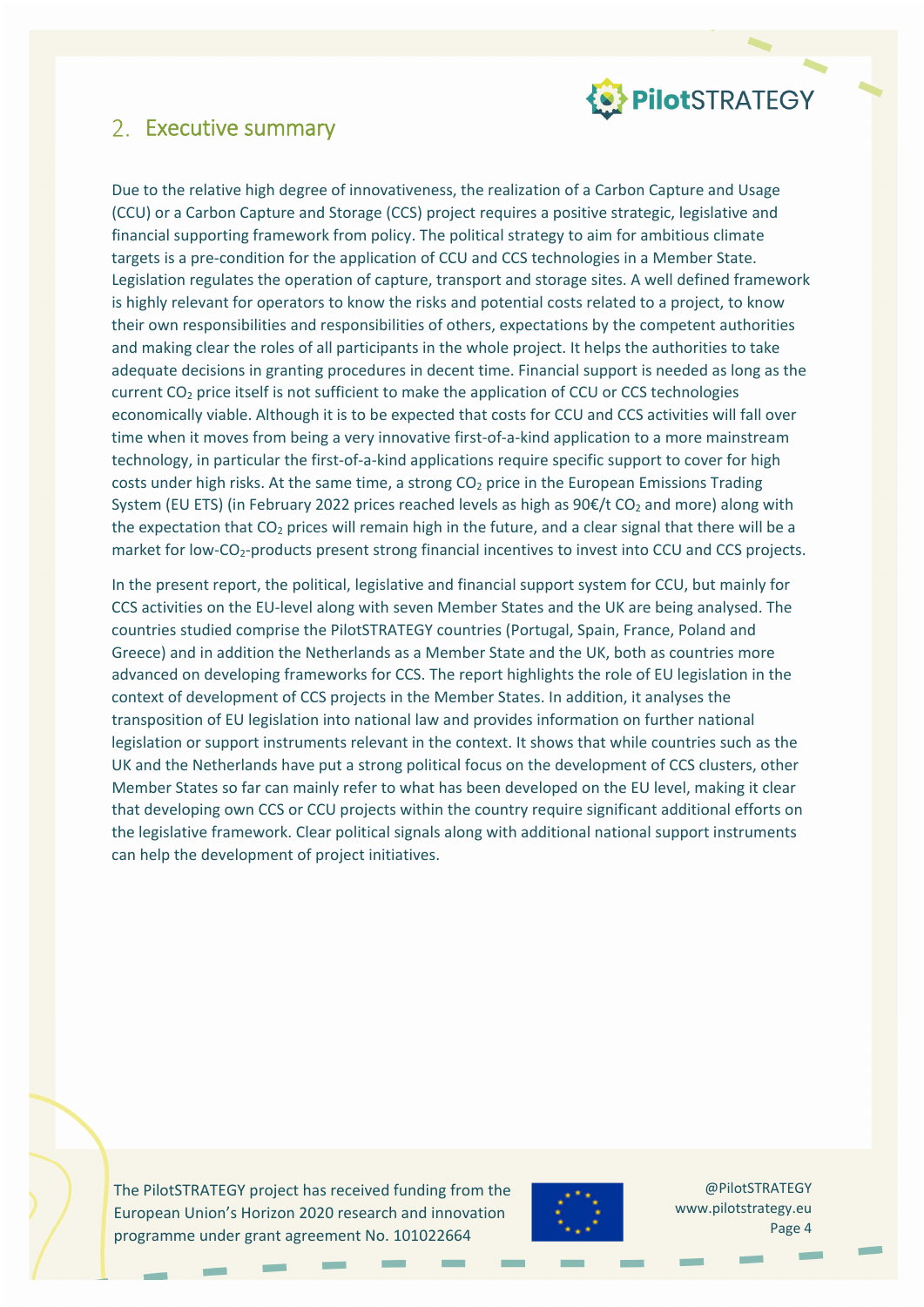

### 2. Executive summary

Due to the relative high degree of innovativeness, the realization of a Carbon Capture and Usage (CCU) or a Carbon Capture and Storage (CCS) project requires a positive strategic, legislative and financial supporting framework from policy. The political strategy to aim for ambitious climate targets is a pre-condition for the application of CCU and CCS technologies in a Member State. Legislation regulates the operation of capture, transport and storage sites. A well defined framework is highly relevant for operators to know the risks and potential costs related to a project, to know their own responsibilities and responsibilities of others, expectations by the competent authorities and making clear the roles of all participants in the whole project. It helps the authorities to take adequate decisions in granting procedures in decent time. Financial support is needed as long as the current CO<sub>2</sub> price itself is not sufficient to make the application of CCU or CCS technologies economically viable. Although it is to be expected that costs for CCU and CCS activities will fall over time when it moves from being a very innovative first-of-a-kind application to a more mainstream technology, in particular the first‐of‐a‐kind applications require specific support to cover for high costs under high risks. At the same time, a strong  $CO<sub>2</sub>$  price in the European Emissions Trading System (EU ETS) (in February 2022 prices reached levels as high as  $90 \text{E/t CO}_2$  and more) along with the expectation that  $CO<sub>2</sub>$  prices will remain high in the future, and a clear signal that there will be a market for low-CO<sub>2</sub>-products present strong financial incentives to invest into CCU and CCS projects.

In the present report, the political, legislative and financial support system for CCU, but mainly for CCS activities on the EU‐level along with seven Member States and the UK are being analysed. The countries studied comprise the PilotSTRATEGY countries (Portugal, Spain, France, Poland and Greece) and in addition the Netherlands as a Member State and the UK, both as countries more advanced on developing frameworks for CCS. The report highlights the role of EU legislation in the context of development of CCS projects in the Member States. In addition, it analyses the transposition of EU legislation into national law and provides information on further national legislation or support instruments relevant in the context. It shows that while countries such as the UK and the Netherlands have put a strong political focus on the development of CCS clusters, other Member States so far can mainly refer to what has been developed on the EU level, making it clear that developing own CCS or CCU projects within the country require significant additional efforts on the legislative framework. Clear political signals along with additional national support instruments can help the development of project initiatives.

The PilotSTRATEGY project has received funding from the European Union's Horizon 2020 research and innovation programme under grant agreement No. 101022664

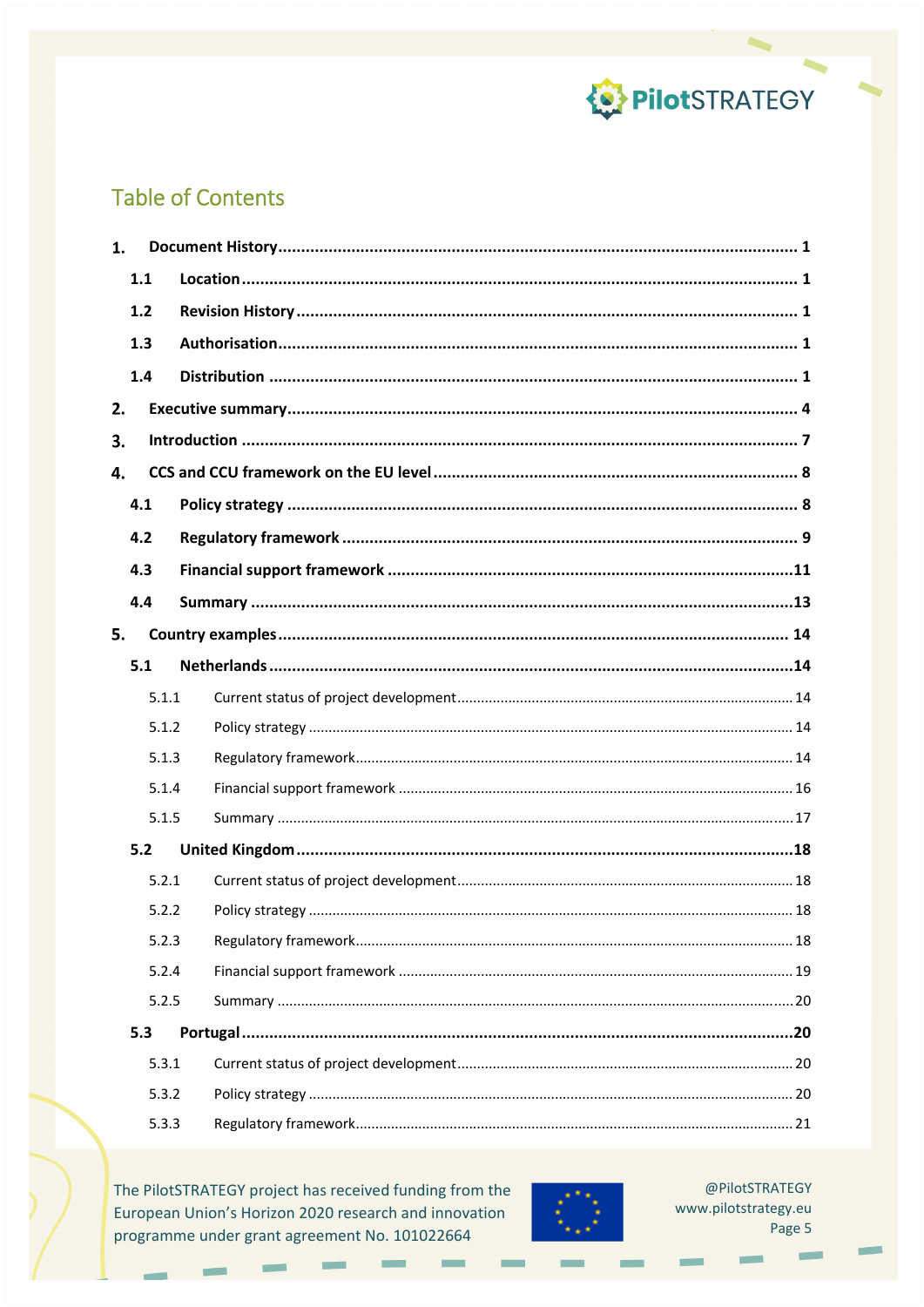

### **Table of Contents**

| 1. |       |  |
|----|-------|--|
|    | 1.1   |  |
|    | 1.2   |  |
|    | 1.3   |  |
|    | 1.4   |  |
| 2. |       |  |
| 3. |       |  |
| 4. |       |  |
|    | 4.1   |  |
|    | 4.2   |  |
|    | 4.3   |  |
|    | 4.4   |  |
| 5. |       |  |
|    | 5.1   |  |
|    | 5.1.1 |  |
|    | 5.1.2 |  |
|    | 5.1.3 |  |
|    | 5.1.4 |  |
|    | 5.1.5 |  |
|    | 5.2   |  |
|    | 5.2.1 |  |
|    | 5.2.2 |  |
|    | 5.2.3 |  |
|    | 5.2.4 |  |
|    | 5.2.5 |  |
|    | 5.3   |  |
|    | 5.3.1 |  |
|    | 5.3.2 |  |
|    | 5.3.3 |  |

The PilotSTRATEGY project has received funding from the European Union's Horizon 2020 research and innovation programme under grant agreement No. 101022664

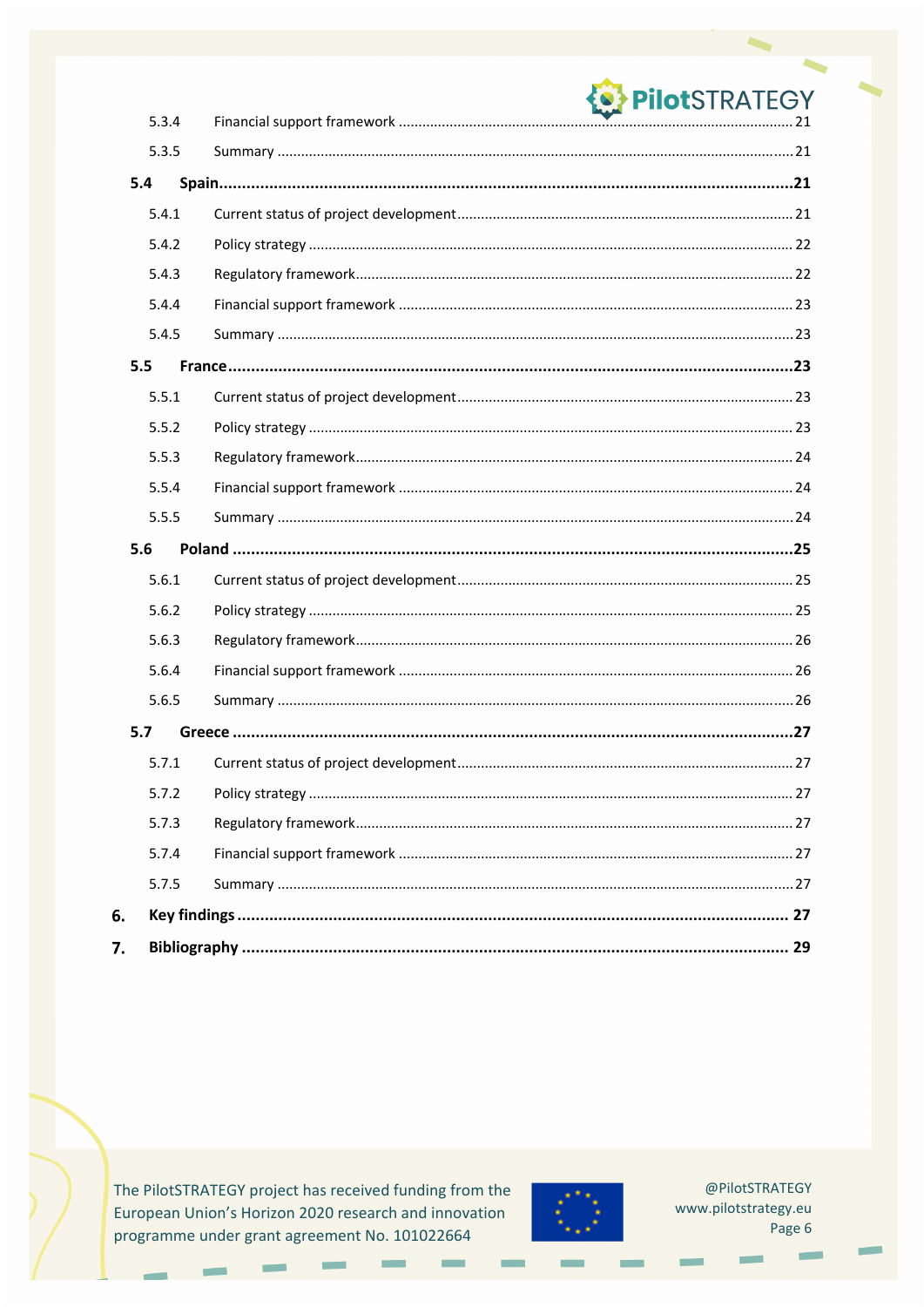|     |       | <b>OPPIIOtSTRATEGY</b> |
|-----|-------|------------------------|
|     | 5.3.4 |                        |
|     | 5.3.5 |                        |
| 5.4 |       |                        |
|     | 5.4.1 |                        |
|     | 5.4.2 |                        |
|     | 5.4.3 |                        |
|     | 5.4.4 |                        |
|     | 5.4.5 |                        |
| 5.5 |       |                        |
|     | 5.5.1 |                        |
|     | 5.5.2 |                        |
|     | 5.5.3 |                        |
|     | 5.5.4 |                        |
|     | 5.5.5 |                        |
| 5.6 |       |                        |
|     | 5.6.1 |                        |
|     | 5.6.2 |                        |
|     | 5.6.3 |                        |
|     | 5.6.4 |                        |
|     | 5.6.5 |                        |
| 5.7 |       |                        |
|     | 5.7.1 |                        |
|     | 5.7.2 |                        |
|     | 5.7.3 |                        |
|     | 5.7.4 |                        |
|     | 5.7.5 |                        |
| 6.  |       |                        |
| 7.  |       |                        |

The PilotSTRATEGY project has received funding from the European Union's Horizon 2020 research and innovation programme under grant agreement No. 101022664

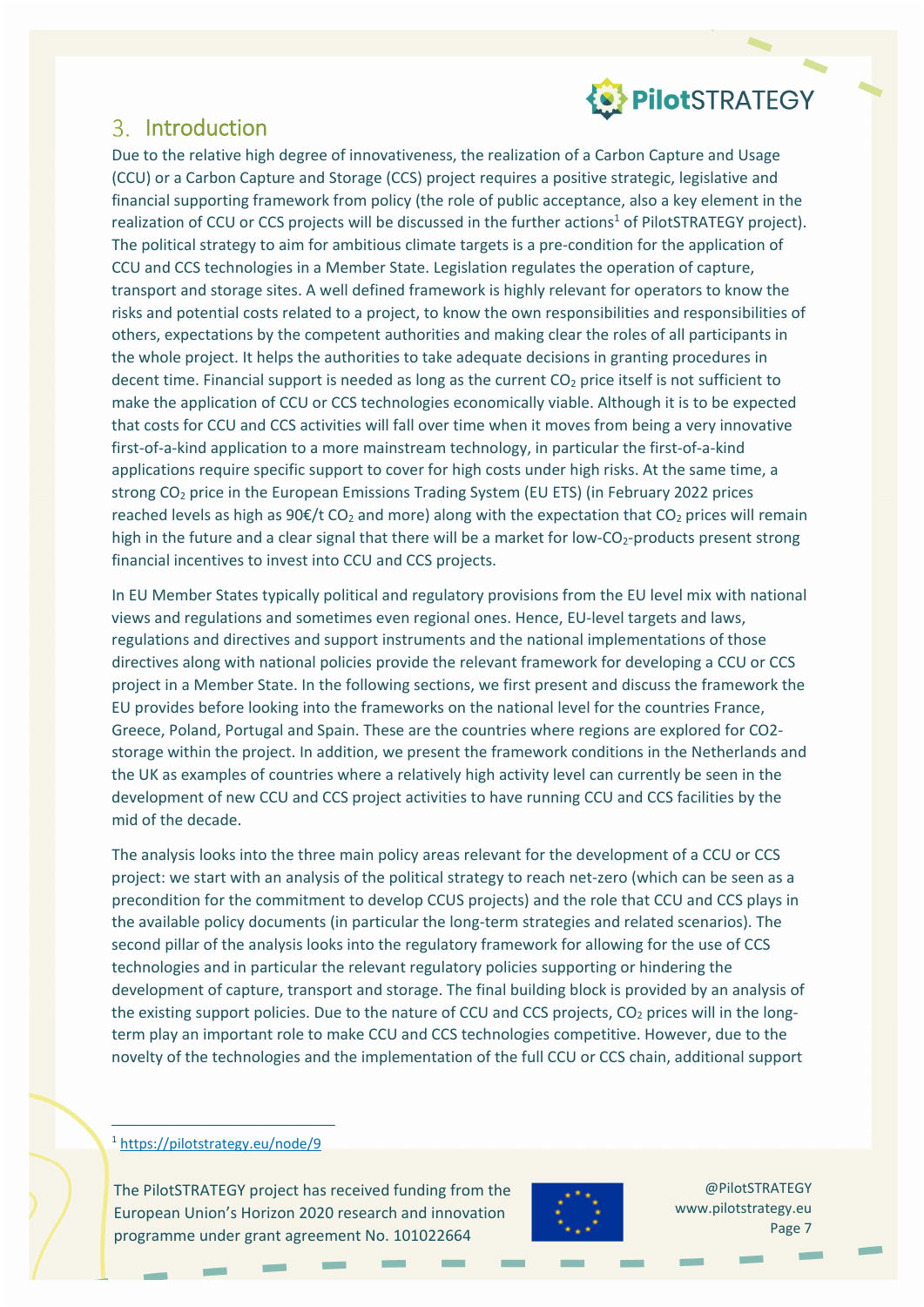

### 3. Introduction

Due to the relative high degree of innovativeness, the realization of a Carbon Capture and Usage (CCU) or a Carbon Capture and Storage (CCS) project requires a positive strategic, legislative and financial supporting framework from policy (the role of public acceptance, also a key element in the realization of CCU or CCS projects will be discussed in the further actions<sup>1</sup> of PilotSTRATEGY project). The political strategy to aim for ambitious climate targets is a pre-condition for the application of CCU and CCS technologies in a Member State. Legislation regulates the operation of capture, transport and storage sites. A well defined framework is highly relevant for operators to know the risks and potential costs related to a project, to know the own responsibilities and responsibilities of others, expectations by the competent authorities and making clear the roles of all participants in the whole project. It helps the authorities to take adequate decisions in granting procedures in decent time. Financial support is needed as long as the current CO<sub>2</sub> price itself is not sufficient to make the application of CCU or CCS technologies economically viable. Although it is to be expected that costs for CCU and CCS activities will fall over time when it moves from being a very innovative first-of-a-kind application to a more mainstream technology, in particular the first-of-a-kind applications require specific support to cover for high costs under high risks. At the same time, a strong CO2 price in the European Emissions Trading System (EU ETS) (in February 2022 prices reached levels as high as  $90 \text{E/t CO}_2$  and more) along with the expectation that CO<sub>2</sub> prices will remain high in the future and a clear signal that there will be a market for low- $CO<sub>2</sub>$ -products present strong financial incentives to invest into CCU and CCS projects.

In EU Member States typically political and regulatory provisions from the EU level mix with national views and regulations and sometimes even regional ones. Hence, EU‐level targets and laws, regulations and directives and support instruments and the national implementations of those directives along with national policies provide the relevant framework for developing a CCU or CCS project in a Member State. In the following sections, we first present and discuss the framework the EU provides before looking into the frameworks on the national level for the countries France, Greece, Poland, Portugal and Spain. These are the countries where regions are explored for CO2‐ storage within the project. In addition, we present the framework conditions in the Netherlands and the UK as examples of countries where a relatively high activity level can currently be seen in the development of new CCU and CCS project activities to have running CCU and CCS facilities by the mid of the decade.

The analysis looks into the three main policy areas relevant for the development of a CCU or CCS project: we start with an analysis of the political strategy to reach net‐zero (which can be seen as a precondition for the commitment to develop CCUS projects) and the role that CCU and CCS plays in the available policy documents (in particular the long-term strategies and related scenarios). The second pillar of the analysis looks into the regulatory framework for allowing for the use of CCS technologies and in particular the relevant regulatory policies supporting or hindering the development of capture, transport and storage. The final building block is provided by an analysis of the existing support policies. Due to the nature of CCU and CCS projects,  $CO<sub>2</sub>$  prices will in the longterm play an important role to make CCU and CCS technologies competitive. However, due to the novelty of the technologies and the implementation of the full CCU or CCS chain, additional support

<u> Andreas Andreas Andreas Andreas Andreas Andreas Andreas Andreas Andreas Andreas Andreas Andreas Andreas Andreas</u> <sup>1</sup> https://pilotstrategy.eu/node/9

The PilotSTRATEGY project has received funding from the European Union's Horizon 2020 research and innovation programme under grant agreement No. 101022664

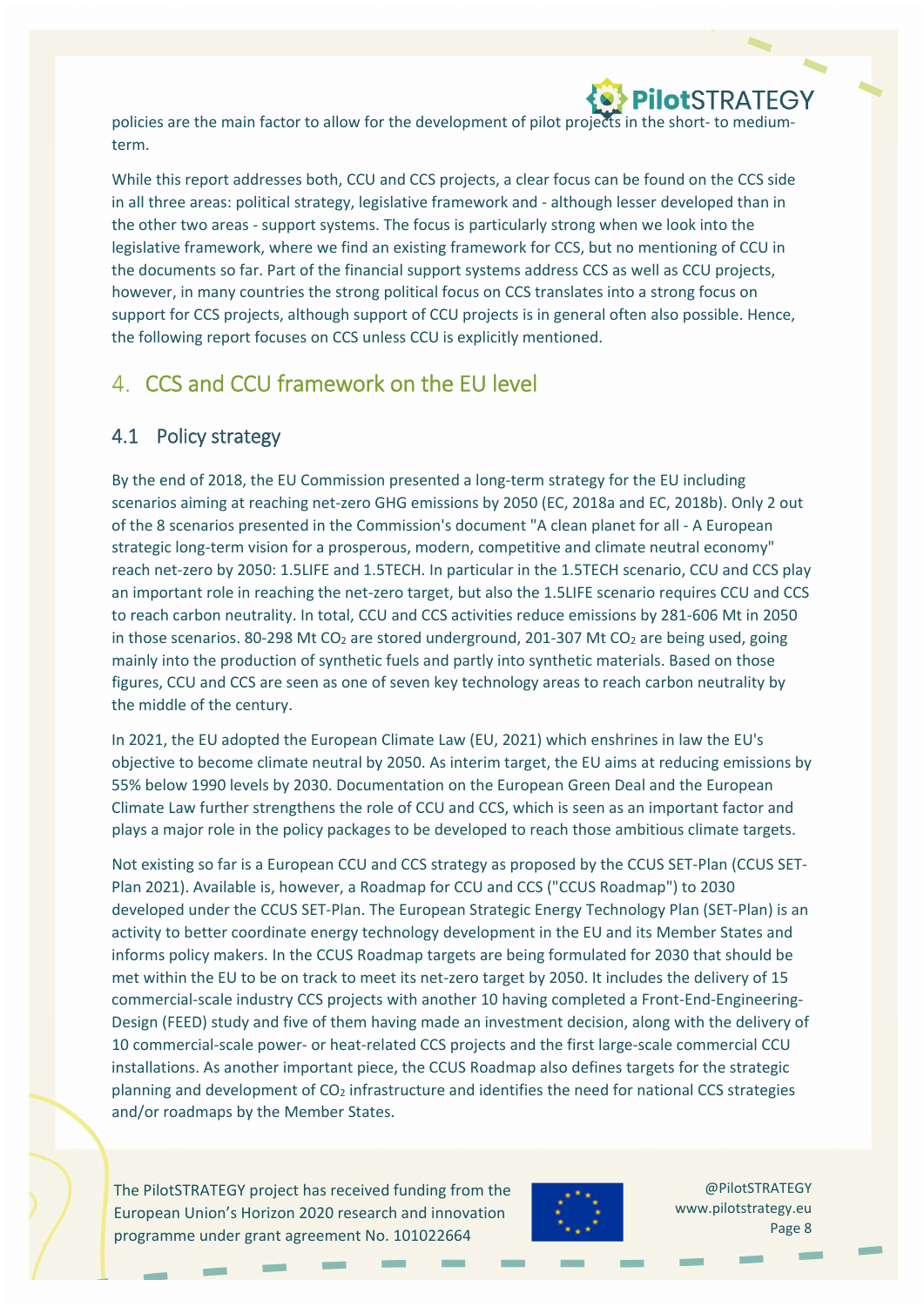

policies are the main factor to allow for the development of pilot projects in the short-to mediumterm.

While this report addresses both, CCU and CCS projects, a clear focus can be found on the CCS side in all three areas: political strategy, legislative framework and ‐ although lesser developed than in the other two areas ‐ support systems. The focus is particularly strong when we look into the legislative framework, where we find an existing framework for CCS, but no mentioning of CCU in the documents so far. Part of the financial support systems address CCS as well as CCU projects, however, in many countries the strong political focus on CCS translates into a strong focus on support for CCS projects, although support of CCU projects is in general often also possible. Hence, the following report focuses on CCS unless CCU is explicitly mentioned.

### CCS and CCU framework on the EU level

### 4.1 Policy strategy

By the end of 2018, the EU Commission presented a long‐term strategy for the EU including scenarios aiming at reaching net-zero GHG emissions by 2050 (EC, 2018a and EC, 2018b). Only 2 out of the 8 scenarios presented in the Commission's document "A clean planet for all ‐ A European strategic long-term vision for a prosperous, modern, competitive and climate neutral economy" reach net-zero by 2050: 1.5LIFE and 1.5TECH. In particular in the 1.5TECH scenario, CCU and CCS play an important role in reaching the net-zero target, but also the 1.5LIFE scenario requires CCU and CCS to reach carbon neutrality. In total, CCU and CCS activities reduce emissions by 281-606 Mt in 2050 in those scenarios. 80-298 Mt CO<sub>2</sub> are stored underground, 201-307 Mt CO<sub>2</sub> are being used, going mainly into the production of synthetic fuels and partly into synthetic materials. Based on those figures, CCU and CCS are seen as one of seven key technology areas to reach carbon neutrality by the middle of the century.

In 2021, the EU adopted the European Climate Law (EU, 2021) which enshrines in law the EU's objective to become climate neutral by 2050. As interim target, the EU aims at reducing emissions by 55% below 1990 levels by 2030. Documentation on the European Green Deal and the European Climate Law further strengthens the role of CCU and CCS, which is seen as an important factor and plays a major role in the policy packages to be developed to reach those ambitious climate targets.

Not existing so far is a European CCU and CCS strategy as proposed by the CCUS SET‐Plan (CCUS SET‐ Plan 2021). Available is, however, a Roadmap for CCU and CCS ("CCUS Roadmap") to 2030 developed under the CCUS SET‐Plan. The European Strategic Energy Technology Plan (SET‐Plan) is an activity to better coordinate energy technology development in the EU and its Member States and informs policy makers. In the CCUS Roadmap targets are being formulated for 2030 that should be met within the EU to be on track to meet its net-zero target by 2050. It includes the delivery of 15 commercial-scale industry CCS projects with another 10 having completed a Front-End-Engineering-Design (FEED) study and five of them having made an investment decision, along with the delivery of 10 commercial‐scale power‐ or heat‐related CCS projects and the first large‐scale commercial CCU installations. As another important piece, the CCUS Roadmap also defines targets for the strategic planning and development of  $CO<sub>2</sub>$  infrastructure and identifies the need for national CCS strategies and/or roadmaps by the Member States.

The PilotSTRATEGY project has received funding from the European Union's Horizon 2020 research and innovation programme under grant agreement No. 101022664

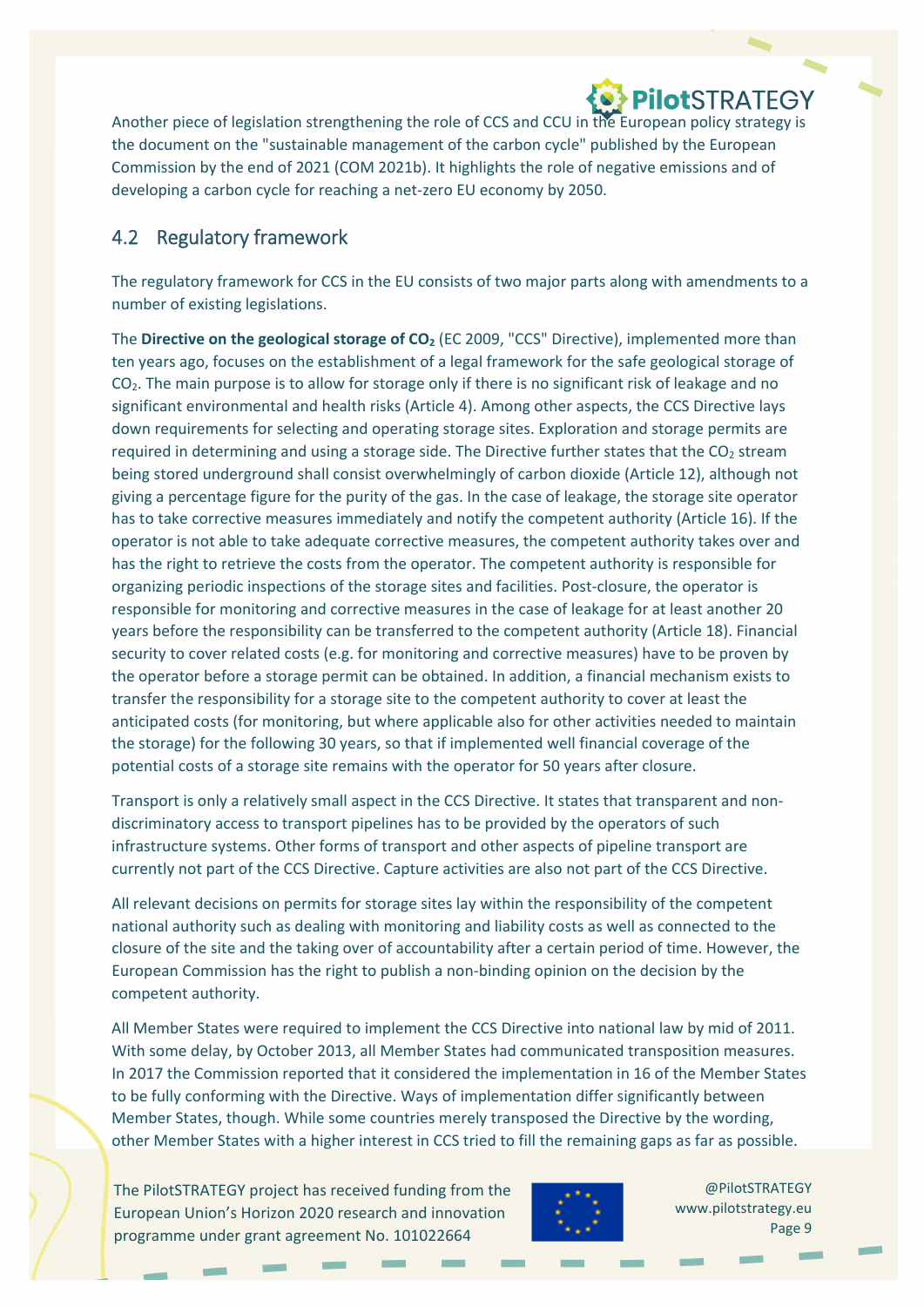Another piece of legislation strengthening the role of CCS and CCU in the European policy strategy is the document on the "sustainable management of the carbon cycle" published by the European Commission by the end of 2021 (COM 2021b). It highlights the role of negative emissions and of developing a carbon cycle for reaching a net‐zero EU economy by 2050.

### 4.2 Regulatory framework

The regulatory framework for CCS in the EU consists of two major parts along with amendments to a number of existing legislations.

The **Directive on the geological storage of CO2** (EC 2009, "CCS" Directive), implemented more than ten years ago, focuses on the establishment of a legal framework for the safe geological storage of CO2. The main purpose is to allow for storage only if there is no significant risk of leakage and no significant environmental and health risks (Article 4). Among other aspects, the CCS Directive lays down requirements for selecting and operating storage sites. Exploration and storage permits are required in determining and using a storage side. The Directive further states that the  $CO<sub>2</sub>$  stream being stored underground shall consist overwhelmingly of carbon dioxide (Article 12), although not giving a percentage figure for the purity of the gas. In the case of leakage, the storage site operator has to take corrective measures immediately and notify the competent authority (Article 16). If the operator is not able to take adequate corrective measures, the competent authority takes over and has the right to retrieve the costs from the operator. The competent authority is responsible for organizing periodic inspections of the storage sites and facilities. Post‐closure, the operator is responsible for monitoring and corrective measures in the case of leakage for at least another 20 years before the responsibility can be transferred to the competent authority (Article 18). Financial security to cover related costs (e.g. for monitoring and corrective measures) have to be proven by the operator before a storage permit can be obtained. In addition, a financial mechanism exists to transfer the responsibility for a storage site to the competent authority to cover at least the anticipated costs (for monitoring, but where applicable also for other activities needed to maintain the storage) for the following 30 years, so that if implemented well financial coverage of the potential costs of a storage site remains with the operator for 50 years after closure.

Transport is only a relatively small aspect in the CCS Directive. It states that transparent and non‐ discriminatory access to transport pipelines has to be provided by the operators of such infrastructure systems. Other forms of transport and other aspects of pipeline transport are currently not part of the CCS Directive. Capture activities are also not part of the CCS Directive.

All relevant decisions on permits for storage sites lay within the responsibility of the competent national authority such as dealing with monitoring and liability costs as well as connected to the closure of the site and the taking over of accountability after a certain period of time. However, the European Commission has the right to publish a non‐binding opinion on the decision by the competent authority.

All Member States were required to implement the CCS Directive into national law by mid of 2011. With some delay, by October 2013, all Member States had communicated transposition measures. In 2017 the Commission reported that it considered the implementation in 16 of the Member States to be fully conforming with the Directive. Ways of implementation differ significantly between Member States, though. While some countries merely transposed the Directive by the wording, other Member States with a higher interest in CCS tried to fill the remaining gaps as far as possible.

The PilotSTRATEGY project has received funding from the European Union's Horizon 2020 research and innovation programme under grant agreement No. 101022664

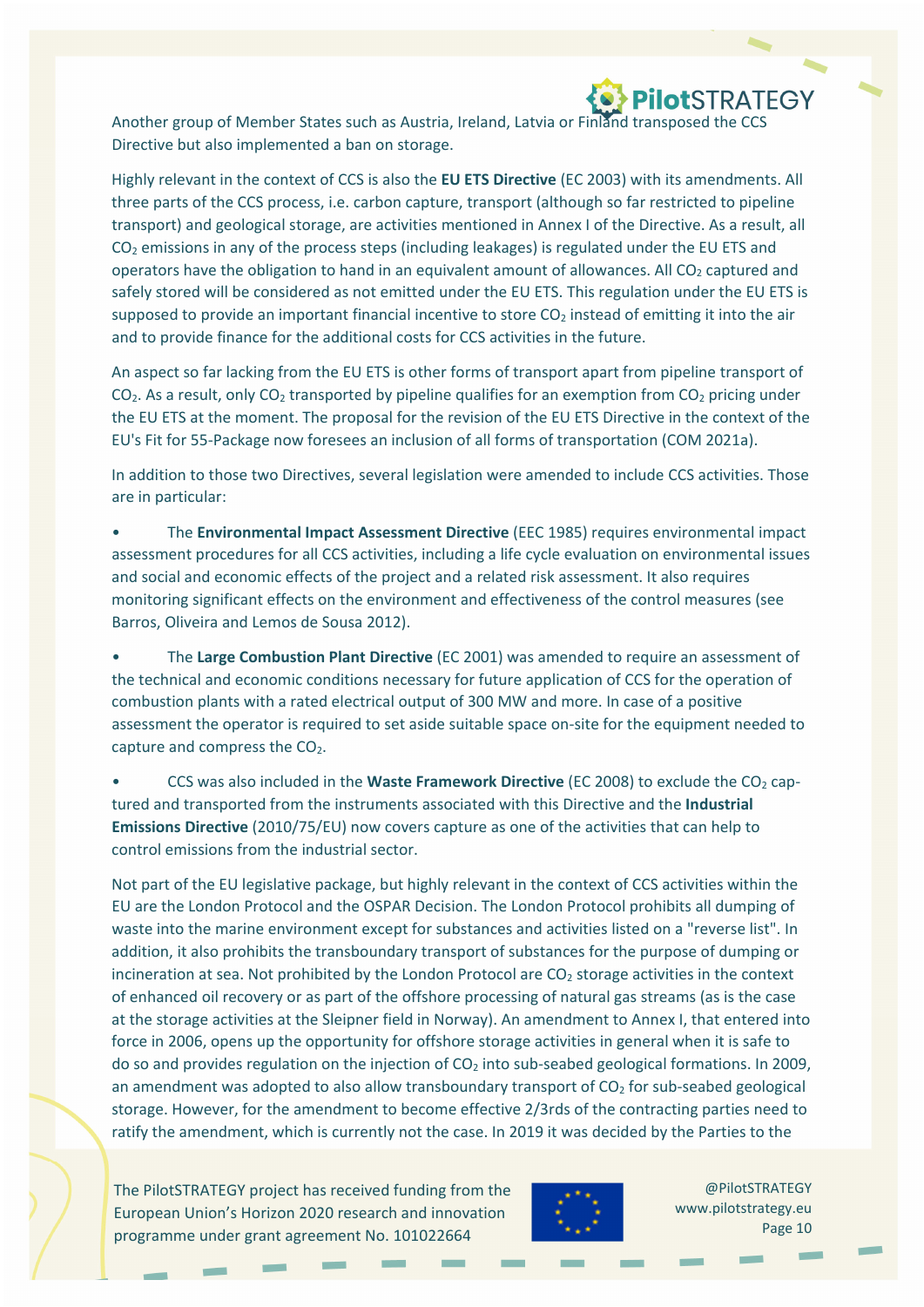

Another group of Member States such as Austria, Ireland, Latvia or Finland transposed the CCS Directive but also implemented a ban on storage.

Highly relevant in the context of CCS is also the **EU ETS Directive** (EC 2003) with its amendments. All three parts of the CCS process, i.e. carbon capture, transport (although so far restricted to pipeline transport) and geological storage, are activities mentioned in Annex I of the Directive. As a result, all  $CO<sub>2</sub>$  emissions in any of the process steps (including leakages) is regulated under the EU ETS and operators have the obligation to hand in an equivalent amount of allowances. All  $CO<sub>2</sub>$  captured and safely stored will be considered as not emitted under the EU ETS. This regulation under the EU ETS is supposed to provide an important financial incentive to store  $CO<sub>2</sub>$  instead of emitting it into the air and to provide finance for the additional costs for CCS activities in the future.

An aspect so far lacking from the EU ETS is other forms of transport apart from pipeline transport of  $CO<sub>2</sub>$ . As a result, only  $CO<sub>2</sub>$  transported by pipeline qualifies for an exemption from  $CO<sub>2</sub>$  pricing under the EU ETS at the moment. The proposal for the revision of the EU ETS Directive in the context of the EU's Fit for 55‐Package now foresees an inclusion of all forms of transportation (COM 2021a).

In addition to those two Directives, several legislation were amended to include CCS activities. Those are in particular:

• The **Environmental Impact Assessment Directive** (EEC 1985) requires environmental impact assessment procedures for all CCS activities, including a life cycle evaluation on environmental issues and social and economic effects of the project and a related risk assessment. It also requires monitoring significant effects on the environment and effectiveness of the control measures (see Barros, Oliveira and Lemos de Sousa 2012).

• The **Large Combustion Plant Directive** (EC 2001) was amended to require an assessment of the technical and economic conditions necessary for future application of CCS for the operation of combustion plants with a rated electrical output of 300 MW and more. In case of a positive assessment the operator is required to set aside suitable space on‐site for the equipment needed to capture and compress the  $CO<sub>2</sub>$ .

• CCS was also included in the **Waste Framework Directive** (EC 2008) to exclude the CO2 cap‐ tured and transported from the instruments associated with this Directive and the **Industrial Emissions Directive** (2010/75/EU) now covers capture as one of the activities that can help to control emissions from the industrial sector.

Not part of the EU legislative package, but highly relevant in the context of CCS activities within the EU are the London Protocol and the OSPAR Decision. The London Protocol prohibits all dumping of waste into the marine environment except for substances and activities listed on a "reverse list". In addition, it also prohibits the transboundary transport of substances for the purpose of dumping or incineration at sea. Not prohibited by the London Protocol are  $CO<sub>2</sub>$  storage activities in the context of enhanced oil recovery or as part of the offshore processing of natural gas streams (as is the case at the storage activities at the Sleipner field in Norway). An amendment to Annex I, that entered into force in 2006, opens up the opportunity for offshore storage activities in general when it is safe to do so and provides regulation on the injection of  $CO<sub>2</sub>$  into sub-seabed geological formations. In 2009, an amendment was adopted to also allow transboundary transport of  $CO<sub>2</sub>$  for sub-seabed geological storage. However, for the amendment to become effective 2/3rds of the contracting parties need to ratify the amendment, which is currently not the case. In 2019 it was decided by the Parties to the

The PilotSTRATEGY project has received funding from the European Union's Horizon 2020 research and innovation programme under grant agreement No. 101022664

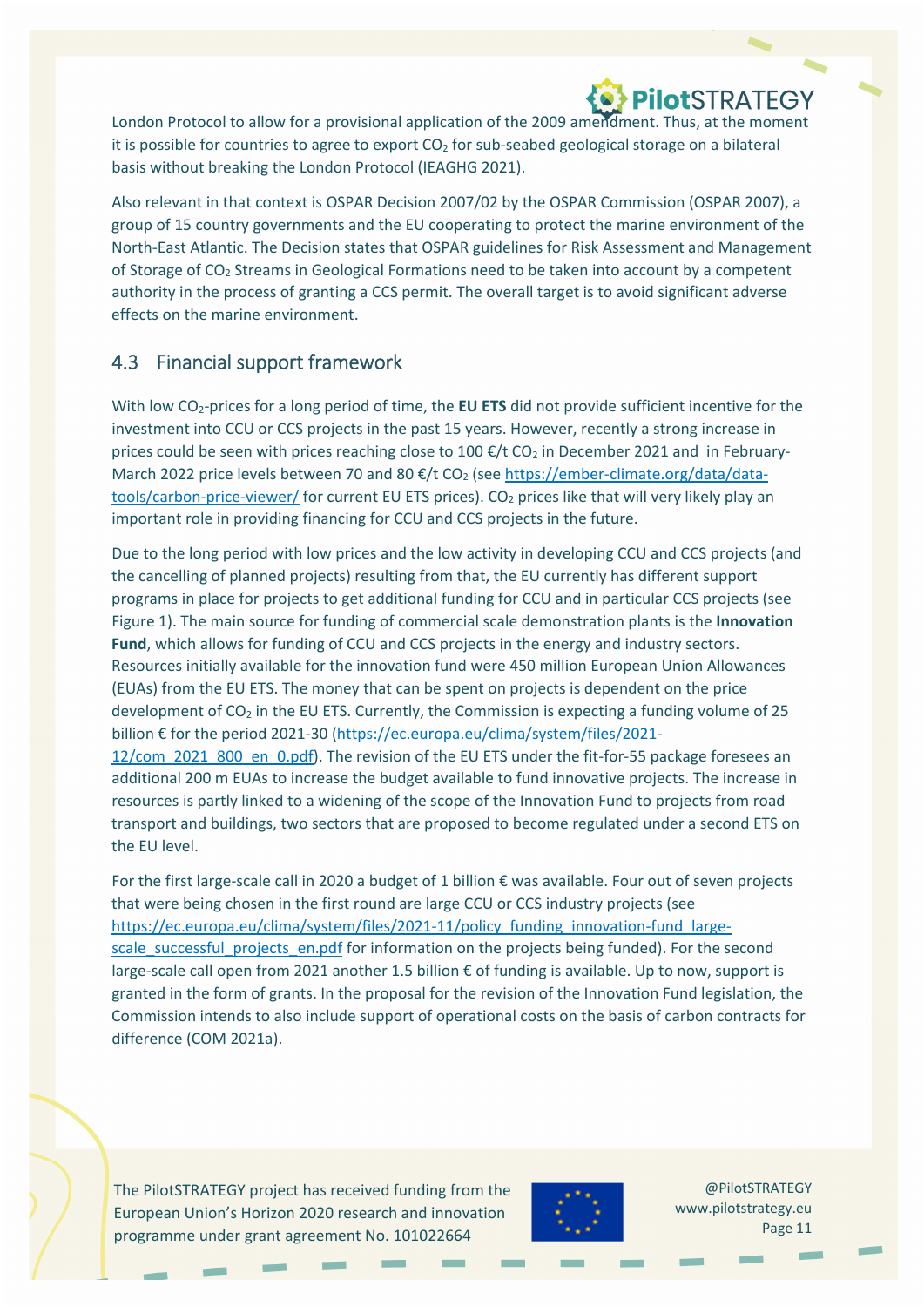London Protocol to allow for a provisional application of the 2009 amendment. Thus, at the moment it is possible for countries to agree to export  $CO<sub>2</sub>$  for sub-seabed geological storage on a bilateral basis without breaking the London Protocol (IEAGHG 2021).

Also relevant in that context is OSPAR Decision 2007/02 by the OSPAR Commission (OSPAR 2007), a group of 15 country governments and the EU cooperating to protect the marine environment of the North‐East Atlantic. The Decision states that OSPAR guidelines for Risk Assessment and Management of Storage of  $CO<sub>2</sub>$  Streams in Geological Formations need to be taken into account by a competent authority in the process of granting a CCS permit. The overall target is to avoid significant adverse effects on the marine environment.

### 4.3 Financial support framework

With low CO<sub>2</sub>-prices for a long period of time, the **EU ETS** did not provide sufficient incentive for the investment into CCU or CCS projects in the past 15 years. However, recently a strong increase in prices could be seen with prices reaching close to 100  $\epsilon$ /t CO<sub>2</sub> in December 2021 and in February-March 2022 price levels between 70 and 80 €/t CO<sub>2</sub> (see https://ember-climate.org/data/datatools/carbon-price-viewer/ for current EU ETS prices). CO<sub>2</sub> prices like that will very likely play an important role in providing financing for CCU and CCS projects in the future.

Due to the long period with low prices and the low activity in developing CCU and CCS projects (and the cancelling of planned projects) resulting from that, the EU currently has different support programs in place for projects to get additional funding for CCU and in particular CCS projects (see Figure 1). The main source for funding of commercial scale demonstration plants is the **Innovation Fund**, which allows for funding of CCU and CCS projects in the energy and industry sectors. Resources initially available for the innovation fund were 450 million European Union Allowances (EUAs) from the EU ETS. The money that can be spent on projects is dependent on the price development of CO<sub>2</sub> in the EU ETS. Currently, the Commission is expecting a funding volume of 25 billion € for the period 2021‐30 (https://ec.europa.eu/clima/system/files/2021‐ 12/com\_2021\_800\_en\_0.pdf). The revision of the EU ETS under the fit‐for‐55 package foresees an additional 200 m EUAs to increase the budget available to fund innovative projects. The increase in resources is partly linked to a widening of the scope of the Innovation Fund to projects from road transport and buildings, two sectors that are proposed to become regulated under a second ETS on the EU level.

For the first large‐scale call in 2020 a budget of 1 billion € was available. Four out of seven projects that were being chosen in the first round are large CCU or CCS industry projects (see https://ec.europa.eu/clima/system/files/2021-11/policy\_funding\_innovation-fund\_largescale\_successful\_projects\_en.pdf for information on the projects being funded). For the second large‐scale call open from 2021 another 1.5 billion € of funding is available. Up to now, support is granted in the form of grants. In the proposal for the revision of the Innovation Fund legislation, the Commission intends to also include support of operational costs on the basis of carbon contracts for difference (COM 2021a).

The PilotSTRATEGY project has received funding from the European Union's Horizon 2020 research and innovation programme under grant agreement No. 101022664

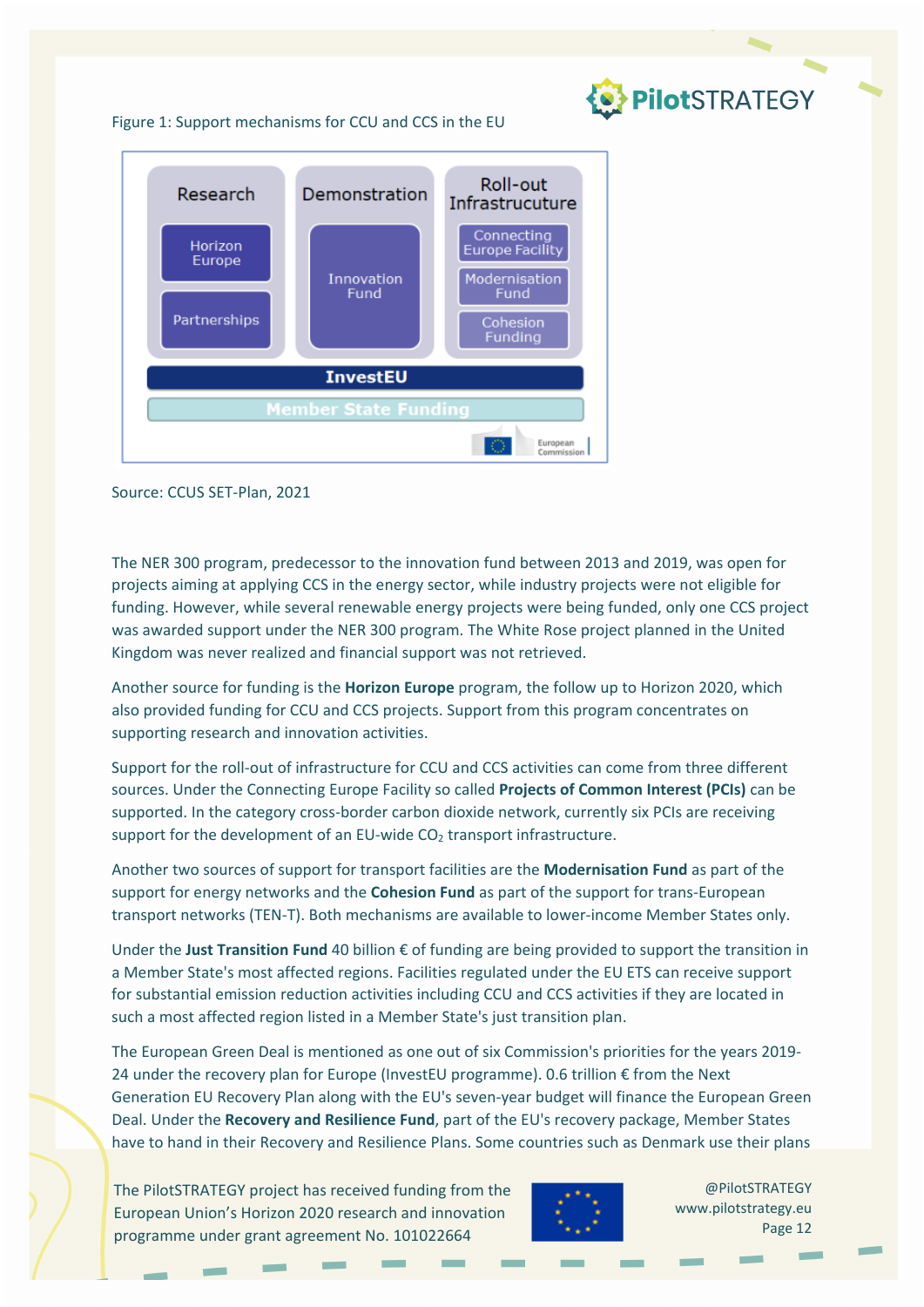

#### Figure 1: Support mechanisms for CCU and CCS in the EU



Source: CCUS SET‐Plan, 2021

The NER 300 program, predecessor to the innovation fund between 2013 and 2019, was open for projects aiming at applying CCS in the energy sector, while industry projects were not eligible for funding. However, while several renewable energy projects were being funded, only one CCS project was awarded support under the NER 300 program. The White Rose project planned in the United Kingdom was never realized and financial support was not retrieved.

Another source for funding is the **Horizon Europe** program, the follow up to Horizon 2020, which also provided funding for CCU and CCS projects. Support from this program concentrates on supporting research and innovation activities.

Support for the roll‐out of infrastructure for CCU and CCS activities can come from three different sources. Under the Connecting Europe Facility so called **Projects of Common Interest (PCIs)** can be supported. In the category cross-border carbon dioxide network, currently six PCIs are receiving support for the development of an EU-wide CO<sub>2</sub> transport infrastructure.

Another two sources of support for transport facilities are the **Modernisation Fund** as part of the support for energy networks and the **Cohesion Fund** as part of the support for trans‐European transport networks (TEN‐T). Both mechanisms are available to lower‐income Member States only.

Under the **Just Transition Fund** 40 billion € of funding are being provided to support the transition in a Member State's most affected regions. Facilities regulated under the EU ETS can receive support for substantial emission reduction activities including CCU and CCS activities if they are located in such a most affected region listed in a Member State's just transition plan.

The European Green Deal is mentioned as one out of six Commission's priorities for the years 2019‐ 24 under the recovery plan for Europe (InvestEU programme). 0.6 trillion € from the Next Generation EU Recovery Plan along with the EU's seven-year budget will finance the European Green Deal. Under the **Recovery and Resilience Fund**, part of the EU's recovery package, Member States have to hand in their Recovery and Resilience Plans. Some countries such as Denmark use their plans

The PilotSTRATEGY project has received funding from the European Union's Horizon 2020 research and innovation programme under grant agreement No. 101022664



@PilotSTRATEGY www.pilotstrategy.eu Page 12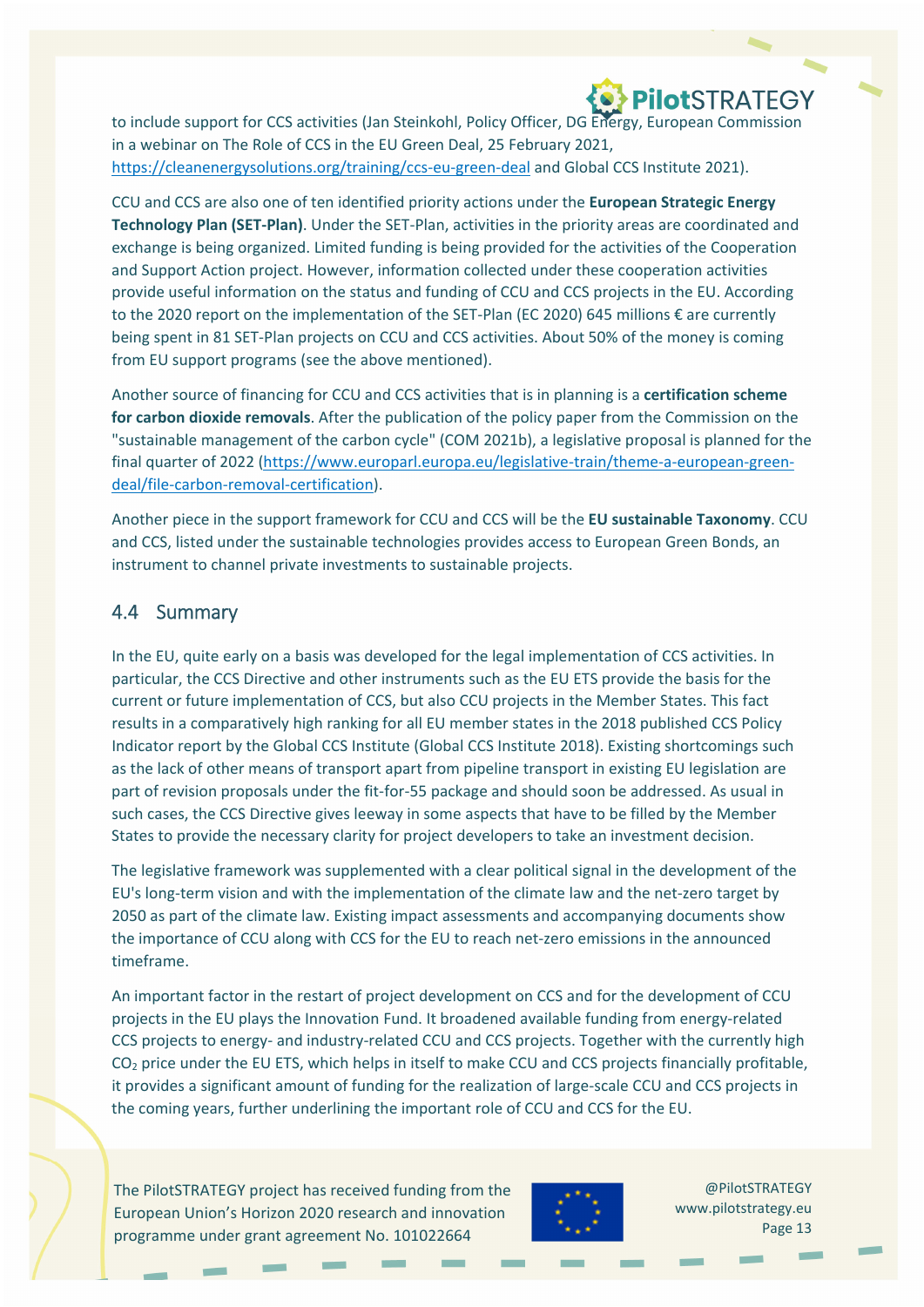to include support for CCS activities (Jan Steinkohl, Policy Officer, DG Energy, European Commission in a webinar on The Role of CCS in the EU Green Deal, 25 February 2021, https://cleanenergysolutions.org/training/ccs-eu-green-deal and Global CCS Institute 2021).

**O PilotSTRATEGY** 

CCU and CCS are also one of ten identified priority actions under the **European Strategic Energy Technology Plan (SET‐Plan)**. Under the SET‐Plan, activities in the priority areas are coordinated and exchange is being organized. Limited funding is being provided for the activities of the Cooperation and Support Action project. However, information collected under these cooperation activities provide useful information on the status and funding of CCU and CCS projects in the EU. According to the 2020 report on the implementation of the SET-Plan (EC 2020) 645 millions € are currently being spent in 81 SET-Plan projects on CCU and CCS activities. About 50% of the money is coming from EU support programs (see the above mentioned).

Another source of financing for CCU and CCS activities that is in planning is a **certification scheme for carbon dioxide removals**. After the publication of the policy paper from the Commission on the "sustainable management of the carbon cycle" (COM 2021b), a legislative proposal is planned for the final quarter of 2022 (https://www.europarl.europa.eu/legislative-train/theme-a-european-greendeal/file‐carbon‐removal‐certification).

Another piece in the support framework for CCU and CCS will be the **EU sustainable Taxonomy**. CCU and CCS, listed under the sustainable technologies provides access to European Green Bonds, an instrument to channel private investments to sustainable projects.

#### 4.4 Summary

In the EU, quite early on a basis was developed for the legal implementation of CCS activities. In particular, the CCS Directive and other instruments such as the EU ETS provide the basis for the current or future implementation of CCS, but also CCU projects in the Member States. This fact results in a comparatively high ranking for all EU member states in the 2018 published CCS Policy Indicator report by the Global CCS Institute (Global CCS Institute 2018). Existing shortcomings such as the lack of other means of transport apart from pipeline transport in existing EU legislation are part of revision proposals under the fit-for-55 package and should soon be addressed. As usual in such cases, the CCS Directive gives leeway in some aspects that have to be filled by the Member States to provide the necessary clarity for project developers to take an investment decision.

The legislative framework was supplemented with a clear political signal in the development of the EU's long‐term vision and with the implementation of the climate law and the net‐zero target by 2050 as part of the climate law. Existing impact assessments and accompanying documents show the importance of CCU along with CCS for the EU to reach net‐zero emissions in the announced timeframe.

An important factor in the restart of project development on CCS and for the development of CCU projects in the EU plays the Innovation Fund. It broadened available funding from energy‐related CCS projects to energy‐ and industry‐related CCU and CCS projects. Together with the currently high CO<sub>2</sub> price under the EU ETS, which helps in itself to make CCU and CCS projects financially profitable, it provides a significant amount of funding for the realization of large‐scale CCU and CCS projects in the coming years, further underlining the important role of CCU and CCS for the EU.

The PilotSTRATEGY project has received funding from the European Union's Horizon 2020 research and innovation programme under grant agreement No. 101022664



@PilotSTRATEGY www.pilotstrategy.eu Page 13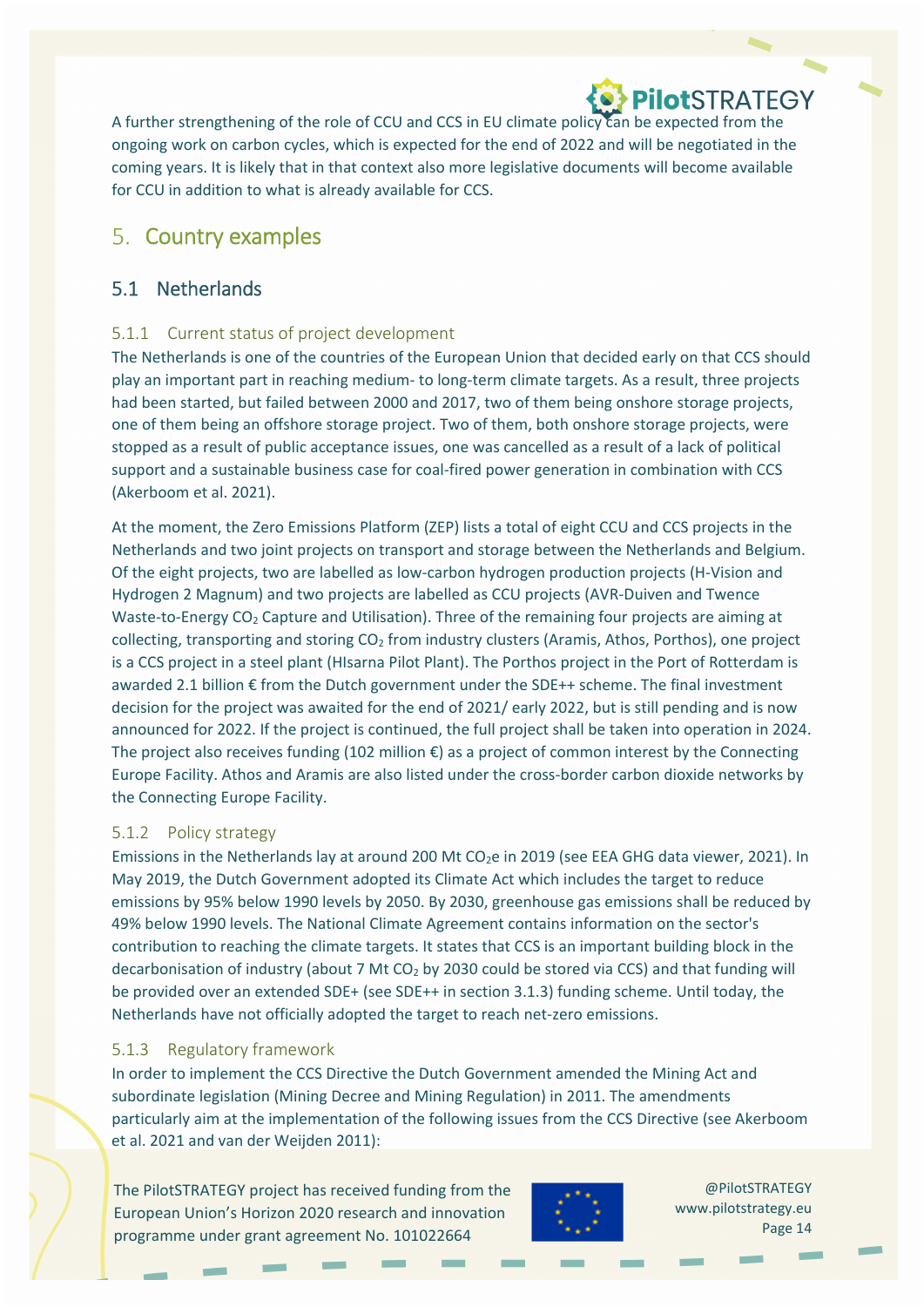A further strengthening of the role of CCU and CCS in EU climate policy can be expected from the ongoing work on carbon cycles, which is expected for the end of 2022 and will be negotiated in the coming years. It is likely that in that context also more legislative documents will become available for CCU in addition to what is already available for CCS.

### 5. Country examples

### 5.1 Netherlands

#### 5.1.1 Current status of project development

The Netherlands is one of the countries of the European Union that decided early on that CCS should play an important part in reaching medium‐ to long‐term climate targets. As a result, three projects had been started, but failed between 2000 and 2017, two of them being onshore storage projects, one of them being an offshore storage project. Two of them, both onshore storage projects, were stopped as a result of public acceptance issues, one was cancelled as a result of a lack of political support and a sustainable business case for coal‐fired power generation in combination with CCS (Akerboom et al. 2021).

At the moment, the Zero Emissions Platform (ZEP) lists a total of eight CCU and CCS projects in the Netherlands and two joint projects on transport and storage between the Netherlands and Belgium. Of the eight projects, two are labelled as low‐carbon hydrogen production projects (H‐Vision and Hydrogen 2 Magnum) and two projects are labelled as CCU projects (AVR‐Duiven and Twence Waste-to-Energy CO<sub>2</sub> Capture and Utilisation). Three of the remaining four projects are aiming at collecting, transporting and storing  $CO<sub>2</sub>$  from industry clusters (Aramis, Athos, Porthos), one project is a CCS project in a steel plant (HIsarna Pilot Plant). The Porthos project in the Port of Rotterdam is awarded 2.1 billion € from the Dutch government under the SDE++ scheme. The final investment decision for the project was awaited for the end of 2021/ early 2022, but is still pending and is now announced for 2022. If the project is continued, the full project shall be taken into operation in 2024. The project also receives funding  $(102 \text{ million } \epsilon)$  as a project of common interest by the Connecting Europe Facility. Athos and Aramis are also listed under the cross‐border carbon dioxide networks by the Connecting Europe Facility.

#### 5.1.2 Policy strategy

Emissions in the Netherlands lay at around 200 Mt CO<sub>2</sub>e in 2019 (see EEA GHG data viewer, 2021). In May 2019, the Dutch Government adopted its Climate Act which includes the target to reduce emissions by 95% below 1990 levels by 2050. By 2030, greenhouse gas emissions shall be reduced by 49% below 1990 levels. The National Climate Agreement contains information on the sector's contribution to reaching the climate targets. It states that CCS is an important building block in the decarbonisation of industry (about 7 Mt CO<sub>2</sub> by 2030 could be stored via CCS) and that funding will be provided over an extended SDE+ (see SDE++ in section 3.1.3) funding scheme. Until today, the Netherlands have not officially adopted the target to reach net‐zero emissions.

#### 5.1.3 Regulatory framework

In order to implement the CCS Directive the Dutch Government amended the Mining Act and subordinate legislation (Mining Decree and Mining Regulation) in 2011. The amendments particularly aim at the implementation of the following issues from the CCS Directive (see Akerboom et al. 2021 and van der Weijden 2011):

The PilotSTRATEGY project has received funding from the European Union's Horizon 2020 research and innovation programme under grant agreement No. 101022664

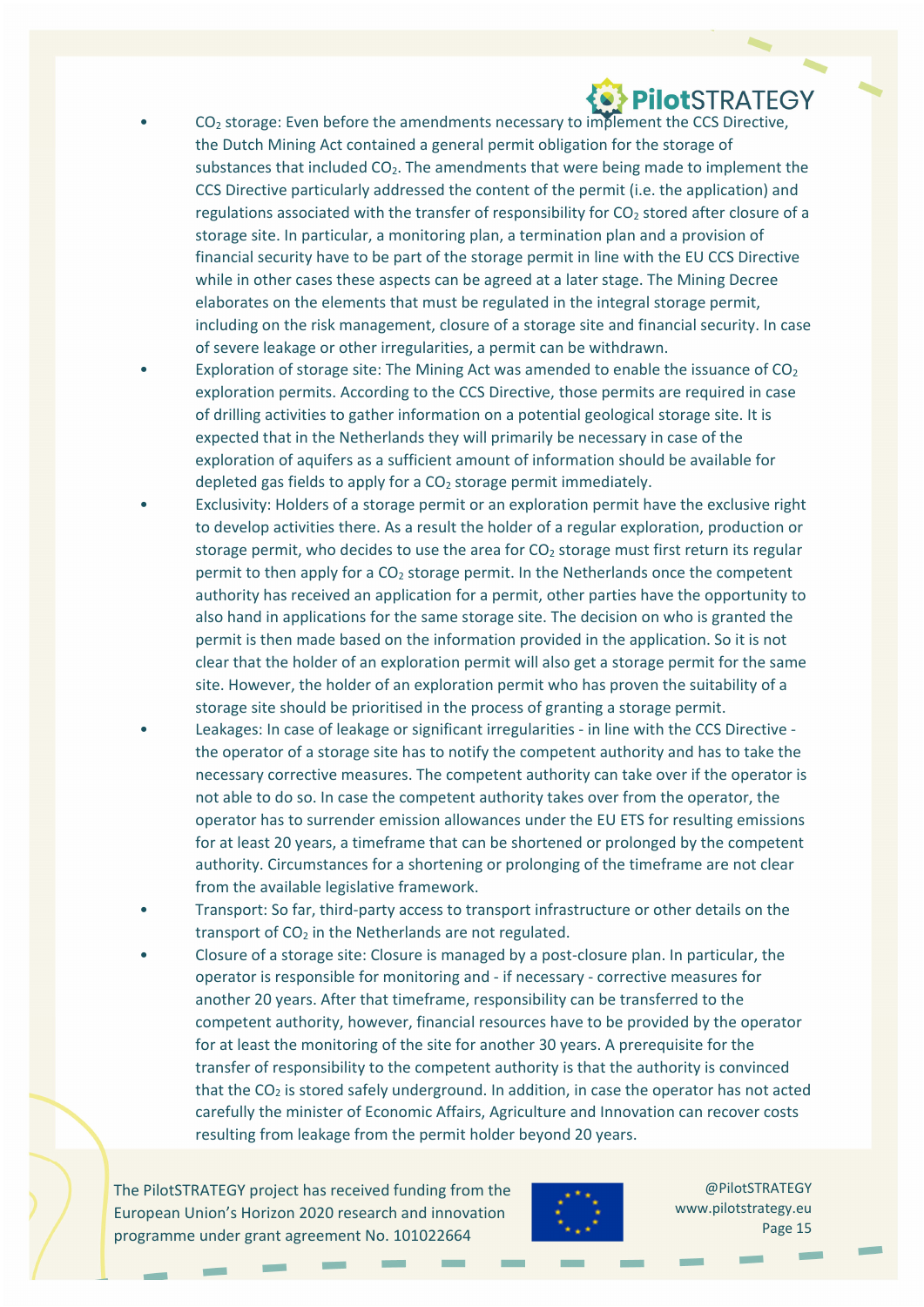- $CO<sub>2</sub>$  storage: Even before the amendments necessary to implement the CCS Directive, the Dutch Mining Act contained a general permit obligation for the storage of substances that included  $CO<sub>2</sub>$ . The amendments that were being made to implement the CCS Directive particularly addressed the content of the permit (i.e. the application) and regulations associated with the transfer of responsibility for CO<sub>2</sub> stored after closure of a storage site. In particular, a monitoring plan, a termination plan and a provision of financial security have to be part of the storage permit in line with the EU CCS Directive while in other cases these aspects can be agreed at a later stage. The Mining Decree elaborates on the elements that must be regulated in the integral storage permit, including on the risk management, closure of a storage site and financial security. In case of severe leakage or other irregularities, a permit can be withdrawn.
- Exploration of storage site: The Mining Act was amended to enable the issuance of  $CO<sub>2</sub>$ exploration permits. According to the CCS Directive, those permits are required in case of drilling activities to gather information on a potential geological storage site. It is expected that in the Netherlands they will primarily be necessary in case of the exploration of aquifers as a sufficient amount of information should be available for depleted gas fields to apply for a  $CO<sub>2</sub>$  storage permit immediately.
- Exclusivity: Holders of a storage permit or an exploration permit have the exclusive right to develop activities there. As a result the holder of a regular exploration, production or storage permit, who decides to use the area for  $CO<sub>2</sub>$  storage must first return its regular permit to then apply for a  $CO<sub>2</sub>$  storage permit. In the Netherlands once the competent authority has received an application for a permit, other parties have the opportunity to also hand in applications for the same storage site. The decision on who is granted the permit is then made based on the information provided in the application. So it is not clear that the holder of an exploration permit will also get a storage permit for the same site. However, the holder of an exploration permit who has proven the suitability of a storage site should be prioritised in the process of granting a storage permit.
- Leakages: In case of leakage or significant irregularities ‐ in line with the CCS Directive ‐ the operator of a storage site has to notify the competent authority and has to take the necessary corrective measures. The competent authority can take over if the operator is not able to do so. In case the competent authority takes over from the operator, the operator has to surrender emission allowances under the EU ETS for resulting emissions for at least 20 years, a timeframe that can be shortened or prolonged by the competent authority. Circumstances for a shortening or prolonging of the timeframe are not clear from the available legislative framework.
- Transport: So far, third‐party access to transport infrastructure or other details on the transport of  $CO<sub>2</sub>$  in the Netherlands are not regulated.
- Closure of a storage site: Closure is managed by a post‐closure plan. In particular, the operator is responsible for monitoring and ‐ if necessary ‐ corrective measures for another 20 years. After that timeframe, responsibility can be transferred to the competent authority, however, financial resources have to be provided by the operator for at least the monitoring of the site for another 30 years. A prerequisite for the transfer of responsibility to the competent authority is that the authority is convinced that the  $CO<sub>2</sub>$  is stored safely underground. In addition, in case the operator has not acted carefully the minister of Economic Affairs, Agriculture and Innovation can recover costs resulting from leakage from the permit holder beyond 20 years.

The PilotSTRATEGY project has received funding from the European Union's Horizon 2020 research and innovation programme under grant agreement No. 101022664

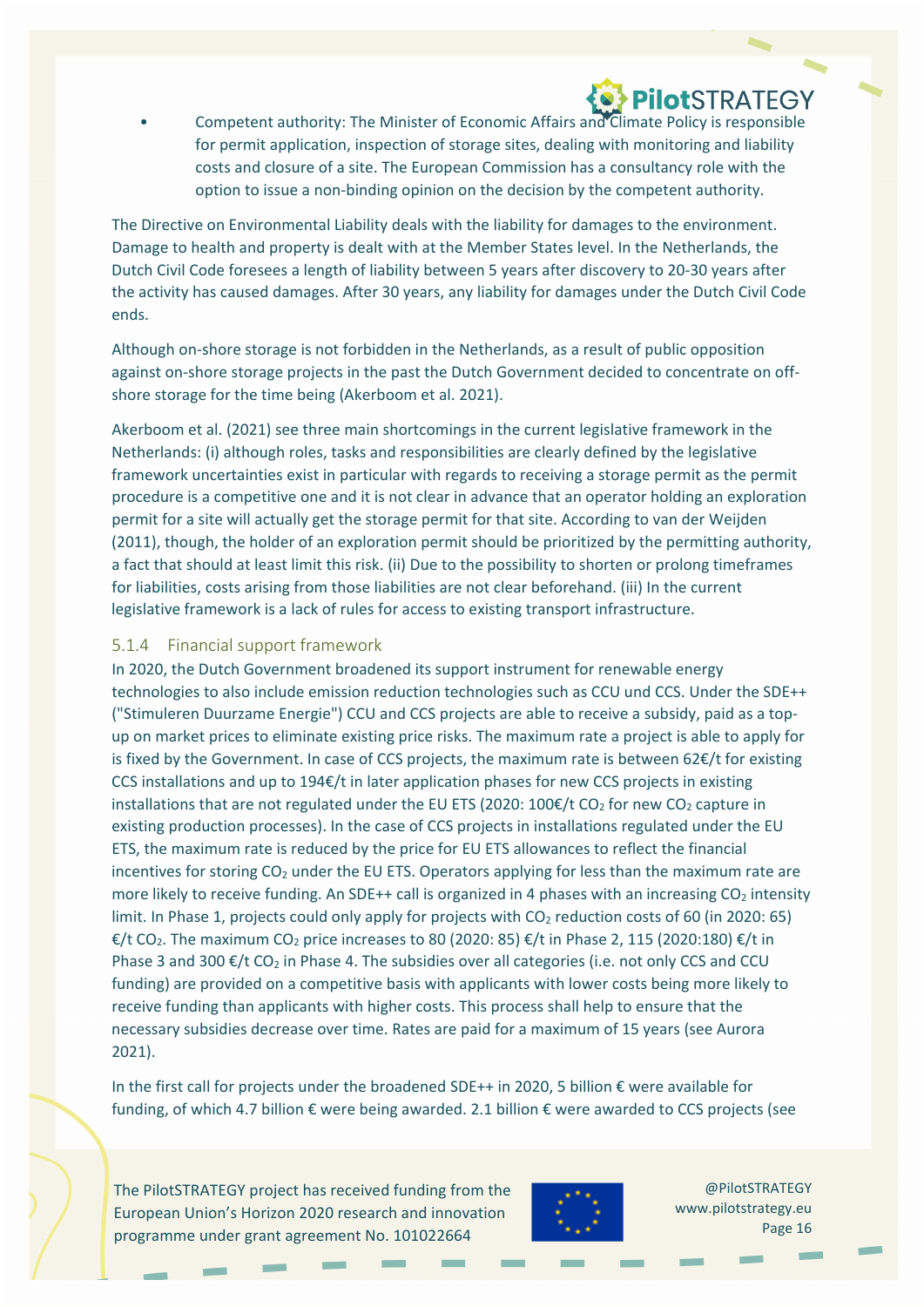• Competent authority: The Minister of Economic Affairs and Climate Policy is responsible for permit application, inspection of storage sites, dealing with monitoring and liability costs and closure of a site. The European Commission has a consultancy role with the option to issue a non‐binding opinion on the decision by the competent authority.

The Directive on Environmental Liability deals with the liability for damages to the environment. Damage to health and property is dealt with at the Member States level. In the Netherlands, the Dutch Civil Code foresees a length of liability between 5 years after discovery to 20‐30 years after the activity has caused damages. After 30 years, any liability for damages under the Dutch Civil Code ends.

Although on‐shore storage is not forbidden in the Netherlands, as a result of public opposition against on‐shore storage projects in the past the Dutch Government decided to concentrate on off‐ shore storage for the time being (Akerboom et al. 2021).

Akerboom et al. (2021) see three main shortcomings in the current legislative framework in the Netherlands: (i) although roles, tasks and responsibilities are clearly defined by the legislative framework uncertainties exist in particular with regards to receiving a storage permit as the permit procedure is a competitive one and it is not clear in advance that an operator holding an exploration permit for a site will actually get the storage permit for that site. According to van der Weijden (2011), though, the holder of an exploration permit should be prioritized by the permitting authority, a fact that should at least limit this risk. (ii) Due to the possibility to shorten or prolong timeframes for liabilities, costs arising from those liabilities are not clear beforehand. (iii) In the current legislative framework is a lack of rules for access to existing transport infrastructure.

#### 5.1.4 Financial support framework

In 2020, the Dutch Government broadened its support instrument for renewable energy technologies to also include emission reduction technologies such as CCU und CCS. Under the SDE++ ("Stimuleren Duurzame Energie") CCU and CCS projects are able to receive a subsidy, paid as a top‐ up on market prices to eliminate existing price risks. The maximum rate a project is able to apply for is fixed by the Government. In case of CCS projects, the maximum rate is between 62€/t for existing CCS installations and up to 194€/t in later application phases for new CCS projects in existing installations that are not regulated under the EU ETS (2020: 100€/t CO<sub>2</sub> for new CO<sub>2</sub> capture in existing production processes). In the case of CCS projects in installations regulated under the EU ETS, the maximum rate is reduced by the price for EU ETS allowances to reflect the financial incentives for storing  $CO<sub>2</sub>$  under the EU ETS. Operators applying for less than the maximum rate are more likely to receive funding. An SDE++ call is organized in 4 phases with an increasing  $CO<sub>2</sub>$  intensity limit. In Phase 1, projects could only apply for projects with  $CO<sub>2</sub>$  reduction costs of 60 (in 2020: 65) €/t CO<sub>2</sub>. The maximum CO<sub>2</sub> price increases to 80 (2020: 85) €/t in Phase 2, 115 (2020:180) €/t in Phase 3 and 300  $\epsilon$ /t CO<sub>2</sub> in Phase 4. The subsidies over all categories (i.e. not only CCS and CCU funding) are provided on a competitive basis with applicants with lower costs being more likely to receive funding than applicants with higher costs. This process shall help to ensure that the necessary subsidies decrease over time. Rates are paid for a maximum of 15 years (see Aurora 2021).

In the first call for projects under the broadened SDE++ in 2020, 5 billion € were available for funding, of which 4.7 billion € were being awarded. 2.1 billion € were awarded to CCS projects (see

The PilotSTRATEGY project has received funding from the European Union's Horizon 2020 research and innovation programme under grant agreement No. 101022664

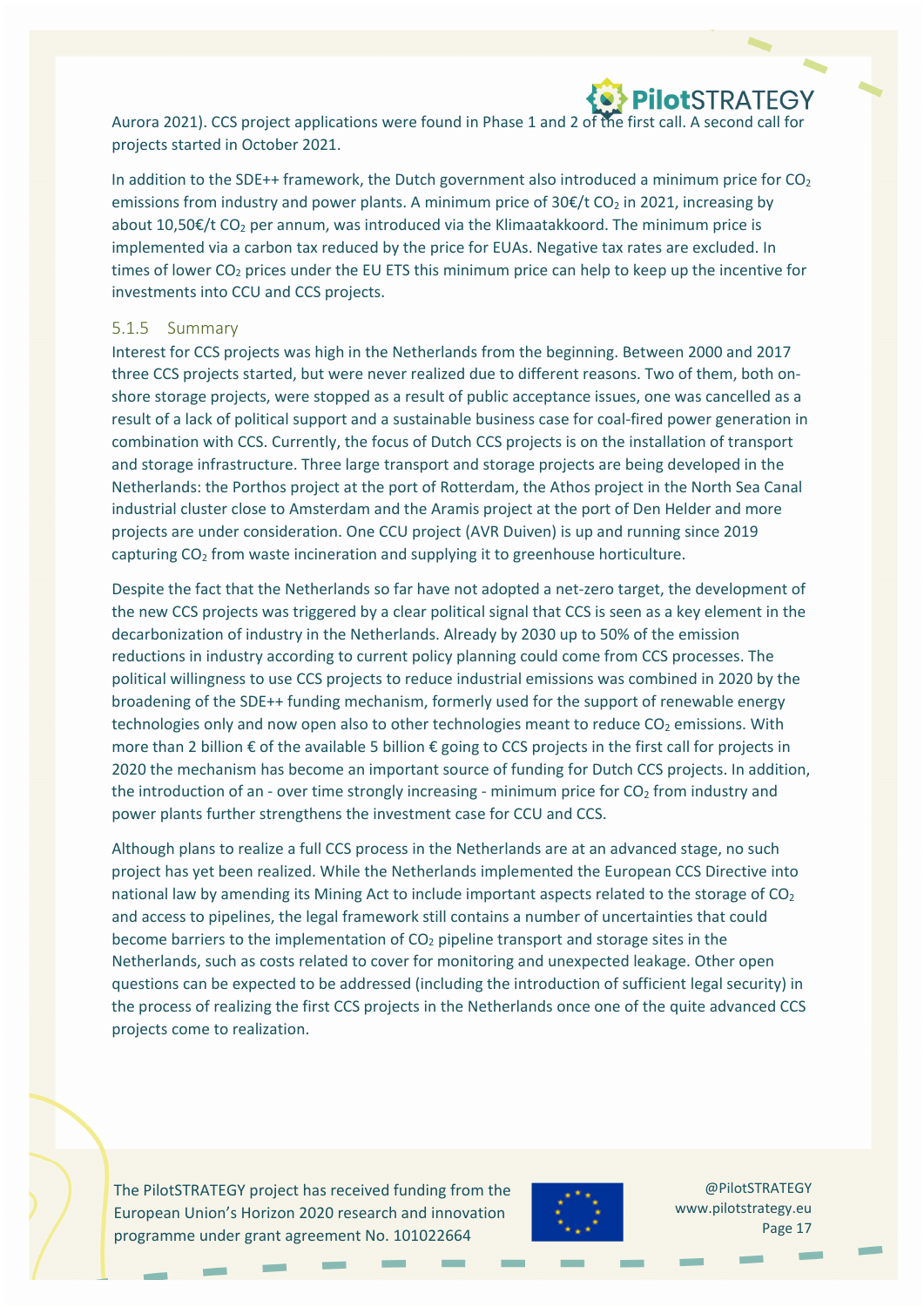

Aurora 2021). CCS project applications were found in Phase 1 and 2 of the first call. A second call for projects started in October 2021.

In addition to the SDE++ framework, the Dutch government also introduced a minimum price for  $CO<sub>2</sub>$ emissions from industry and power plants. A minimum price of  $30 \epsilon/t$  CO<sub>2</sub> in 2021, increasing by about 10,50 $\epsilon$ /t CO<sub>2</sub> per annum, was introduced via the Klimaatakkoord. The minimum price is implemented via a carbon tax reduced by the price for EUAs. Negative tax rates are excluded. In times of lower  $CO<sub>2</sub>$  prices under the EU ETS this minimum price can help to keep up the incentive for investments into CCU and CCS projects.

#### 5.1.5 Summary

Interest for CCS projects was high in the Netherlands from the beginning. Between 2000 and 2017 three CCS projects started, but were never realized due to different reasons. Two of them, both onshore storage projects, were stopped as a result of public acceptance issues, one was cancelled as a result of a lack of political support and a sustainable business case for coal‐fired power generation in combination with CCS. Currently, the focus of Dutch CCS projects is on the installation of transport and storage infrastructure. Three large transport and storage projects are being developed in the Netherlands: the Porthos project at the port of Rotterdam, the Athos project in the North Sea Canal industrial cluster close to Amsterdam and the Aramis project at the port of Den Helder and more projects are under consideration. One CCU project (AVR Duiven) is up and running since 2019 capturing  $CO<sub>2</sub>$  from waste incineration and supplying it to greenhouse horticulture.

Despite the fact that the Netherlands so far have not adopted a net‐zero target, the development of the new CCS projects was triggered by a clear political signal that CCS is seen as a key element in the decarbonization of industry in the Netherlands. Already by 2030 up to 50% of the emission reductions in industry according to current policy planning could come from CCS processes. The political willingness to use CCS projects to reduce industrial emissions was combined in 2020 by the broadening of the SDE++ funding mechanism, formerly used for the support of renewable energy technologies only and now open also to other technologies meant to reduce  $CO<sub>2</sub>$  emissions. With more than 2 billion € of the available 5 billion € going to CCS projects in the first call for projects in 2020 the mechanism has become an important source of funding for Dutch CCS projects. In addition, the introduction of an - over time strongly increasing - minimum price for  $CO<sub>2</sub>$  from industry and power plants further strengthens the investment case for CCU and CCS.

Although plans to realize a full CCS process in the Netherlands are at an advanced stage, no such project has yet been realized. While the Netherlands implemented the European CCS Directive into national law by amending its Mining Act to include important aspects related to the storage of  $CO<sub>2</sub>$ and access to pipelines, the legal framework still contains a number of uncertainties that could become barriers to the implementation of  $CO<sub>2</sub>$  pipeline transport and storage sites in the Netherlands, such as costs related to cover for monitoring and unexpected leakage. Other open questions can be expected to be addressed (including the introduction of sufficient legal security) in the process of realizing the first CCS projects in the Netherlands once one of the quite advanced CCS projects come to realization.

The PilotSTRATEGY project has received funding from the European Union's Horizon 2020 research and innovation programme under grant agreement No. 101022664

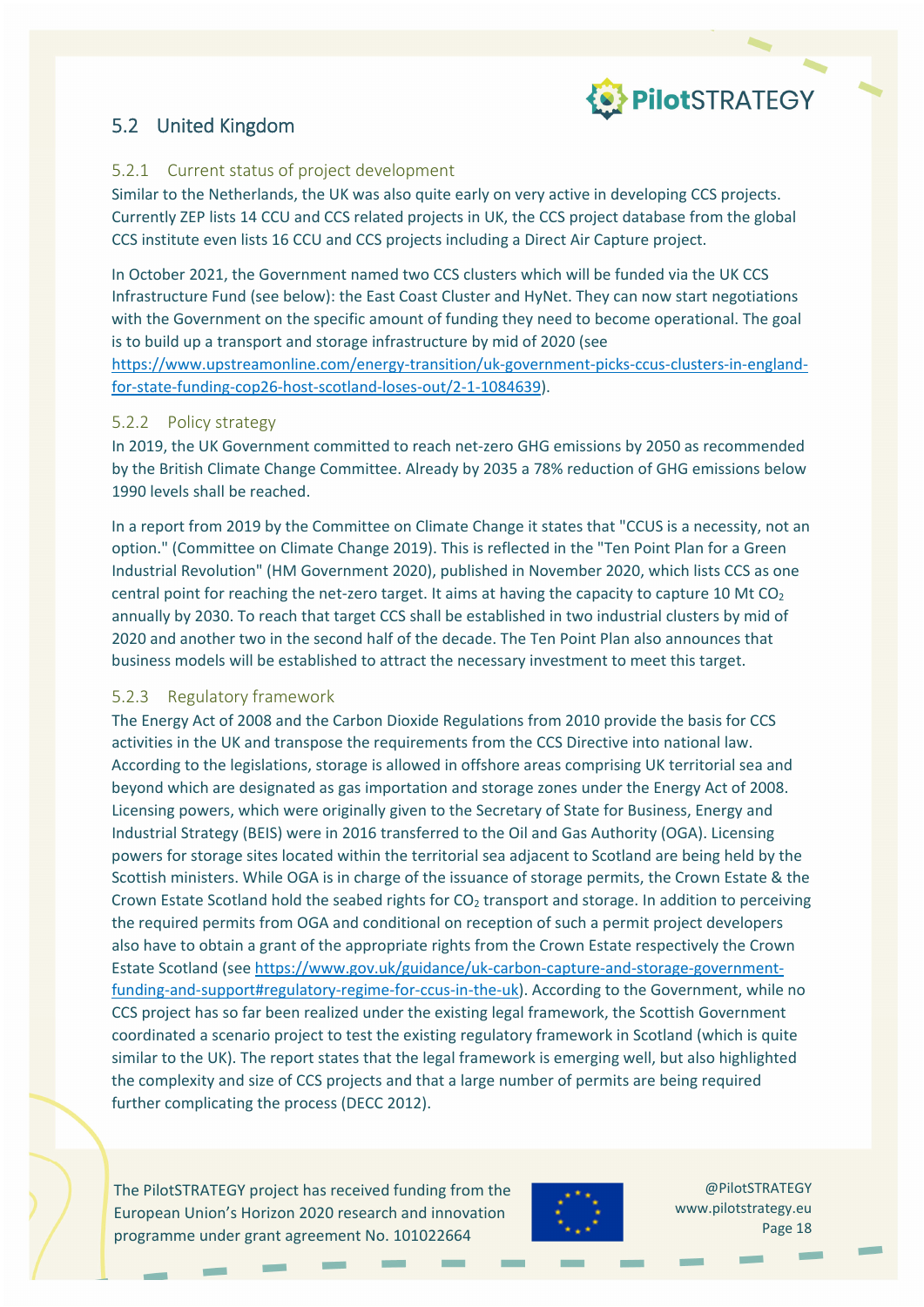

### 5.2 United Kingdom

#### 5.2.1 Current status of project development

Similar to the Netherlands, the UK was also quite early on very active in developing CCS projects. Currently ZEP lists 14 CCU and CCS related projects in UK, the CCS project database from the global CCS institute even lists 16 CCU and CCS projects including a Direct Air Capture project.

In October 2021, the Government named two CCS clusters which will be funded via the UK CCS Infrastructure Fund (see below): the East Coast Cluster and HyNet. They can now start negotiations with the Government on the specific amount of funding they need to become operational. The goal is to build up a transport and storage infrastructure by mid of 2020 (see

https://www.upstreamonline.com/energy-transition/uk-government-picks-ccus-clusters-in-englandfor‐state‐funding‐cop26‐host‐scotland‐loses‐out/2‐1‐1084639).

#### 5.2.2 Policy strategy

In 2019, the UK Government committed to reach net-zero GHG emissions by 2050 as recommended by the British Climate Change Committee. Already by 2035 a 78% reduction of GHG emissions below 1990 levels shall be reached.

In a report from 2019 by the Committee on Climate Change it states that "CCUS is a necessity, not an option." (Committee on Climate Change 2019). This is reflected in the "Ten Point Plan for a Green Industrial Revolution" (HM Government 2020), published in November 2020, which lists CCS as one central point for reaching the net-zero target. It aims at having the capacity to capture 10 Mt  $CO<sub>2</sub>$ annually by 2030. To reach that target CCS shall be established in two industrial clusters by mid of 2020 and another two in the second half of the decade. The Ten Point Plan also announces that business models will be established to attract the necessary investment to meet this target.

#### 5.2.3 Regulatory framework

The Energy Act of 2008 and the Carbon Dioxide Regulations from 2010 provide the basis for CCS activities in the UK and transpose the requirements from the CCS Directive into national law. According to the legislations, storage is allowed in offshore areas comprising UK territorial sea and beyond which are designated as gas importation and storage zones under the Energy Act of 2008. Licensing powers, which were originally given to the Secretary of State for Business, Energy and Industrial Strategy (BEIS) were in 2016 transferred to the Oil and Gas Authority (OGA). Licensing powers for storage sites located within the territorial sea adjacent to Scotland are being held by the Scottish ministers. While OGA is in charge of the issuance of storage permits, the Crown Estate & the Crown Estate Scotland hold the seabed rights for  $CO<sub>2</sub>$  transport and storage. In addition to perceiving the required permits from OGA and conditional on reception of such a permit project developers also have to obtain a grant of the appropriate rights from the Crown Estate respectively the Crown Estate Scotland (see https://www.gov.uk/guidance/uk‐carbon‐capture‐and‐storage‐government‐ funding-and-support#regulatory-regime-for-ccus-in-the-uk). According to the Government, while no CCS project has so far been realized under the existing legal framework, the Scottish Government coordinated a scenario project to test the existing regulatory framework in Scotland (which is quite similar to the UK). The report states that the legal framework is emerging well, but also highlighted the complexity and size of CCS projects and that a large number of permits are being required further complicating the process (DECC 2012).

The PilotSTRATEGY project has received funding from the European Union's Horizon 2020 research and innovation programme under grant agreement No. 101022664

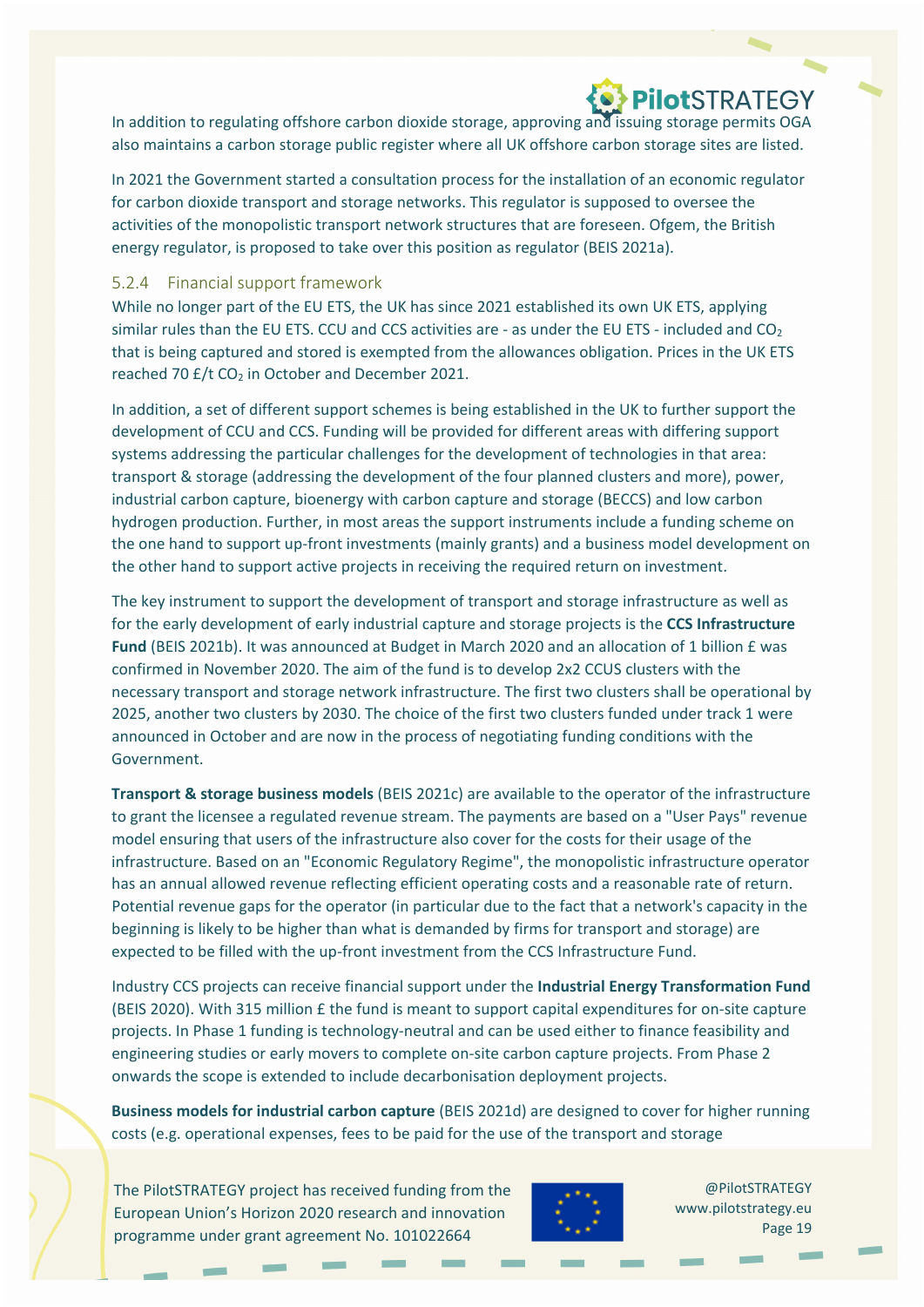In addition to regulating offshore carbon dioxide storage, approving and issuing storage permits OGA also maintains a carbon storage public register where all UK offshore carbon storage sites are listed.

In 2021 the Government started a consultation process for the installation of an economic regulator for carbon dioxide transport and storage networks. This regulator is supposed to oversee the activities of the monopolistic transport network structures that are foreseen. Ofgem, the British energy regulator, is proposed to take over this position as regulator (BEIS 2021a).

#### 5.2.4 Financial support framework

While no longer part of the EU ETS, the UK has since 2021 established its own UK ETS, applying similar rules than the EU ETS. CCU and CCS activities are - as under the EU ETS - included and CO<sub>2</sub> that is being captured and stored is exempted from the allowances obligation. Prices in the UK ETS reached 70  $E/t$  CO<sub>2</sub> in October and December 2021.

In addition, a set of different support schemes is being established in the UK to further support the development of CCU and CCS. Funding will be provided for different areas with differing support systems addressing the particular challenges for the development of technologies in that area: transport & storage (addressing the development of the four planned clusters and more), power, industrial carbon capture, bioenergy with carbon capture and storage (BECCS) and low carbon hydrogen production. Further, in most areas the support instruments include a funding scheme on the one hand to support up‐front investments (mainly grants) and a business model development on the other hand to support active projects in receiving the required return on investment.

The key instrument to support the development of transport and storage infrastructure as well as for the early development of early industrial capture and storage projects is the **CCS Infrastructure Fund** (BEIS 2021b). It was announced at Budget in March 2020 and an allocation of 1 billion £ was confirmed in November 2020. The aim of the fund is to develop 2x2 CCUS clusters with the necessary transport and storage network infrastructure. The first two clusters shall be operational by 2025, another two clusters by 2030. The choice of the first two clusters funded under track 1 were announced in October and are now in the process of negotiating funding conditions with the Government.

**Transport & storage business models** (BEIS 2021c) are available to the operator of the infrastructure to grant the licensee a regulated revenue stream. The payments are based on a "User Pays" revenue model ensuring that users of the infrastructure also cover for the costs for their usage of the infrastructure. Based on an "Economic Regulatory Regime", the monopolistic infrastructure operator has an annual allowed revenue reflecting efficient operating costs and a reasonable rate of return. Potential revenue gaps for the operator (in particular due to the fact that a network's capacity in the beginning is likely to be higher than what is demanded by firms for transport and storage) are expected to be filled with the up-front investment from the CCS Infrastructure Fund.

Industry CCS projects can receive financial support under the **Industrial Energy Transformation Fund** (BEIS 2020). With 315 million £ the fund is meant to support capital expenditures for on‐site capture projects. In Phase 1 funding is technology‐neutral and can be used either to finance feasibility and engineering studies or early movers to complete on-site carbon capture projects. From Phase 2 onwards the scope is extended to include decarbonisation deployment projects.

**Business models for industrial carbon capture** (BEIS 2021d) are designed to cover for higher running costs (e.g. operational expenses, fees to be paid for the use of the transport and storage

The PilotSTRATEGY project has received funding from the European Union's Horizon 2020 research and innovation programme under grant agreement No. 101022664

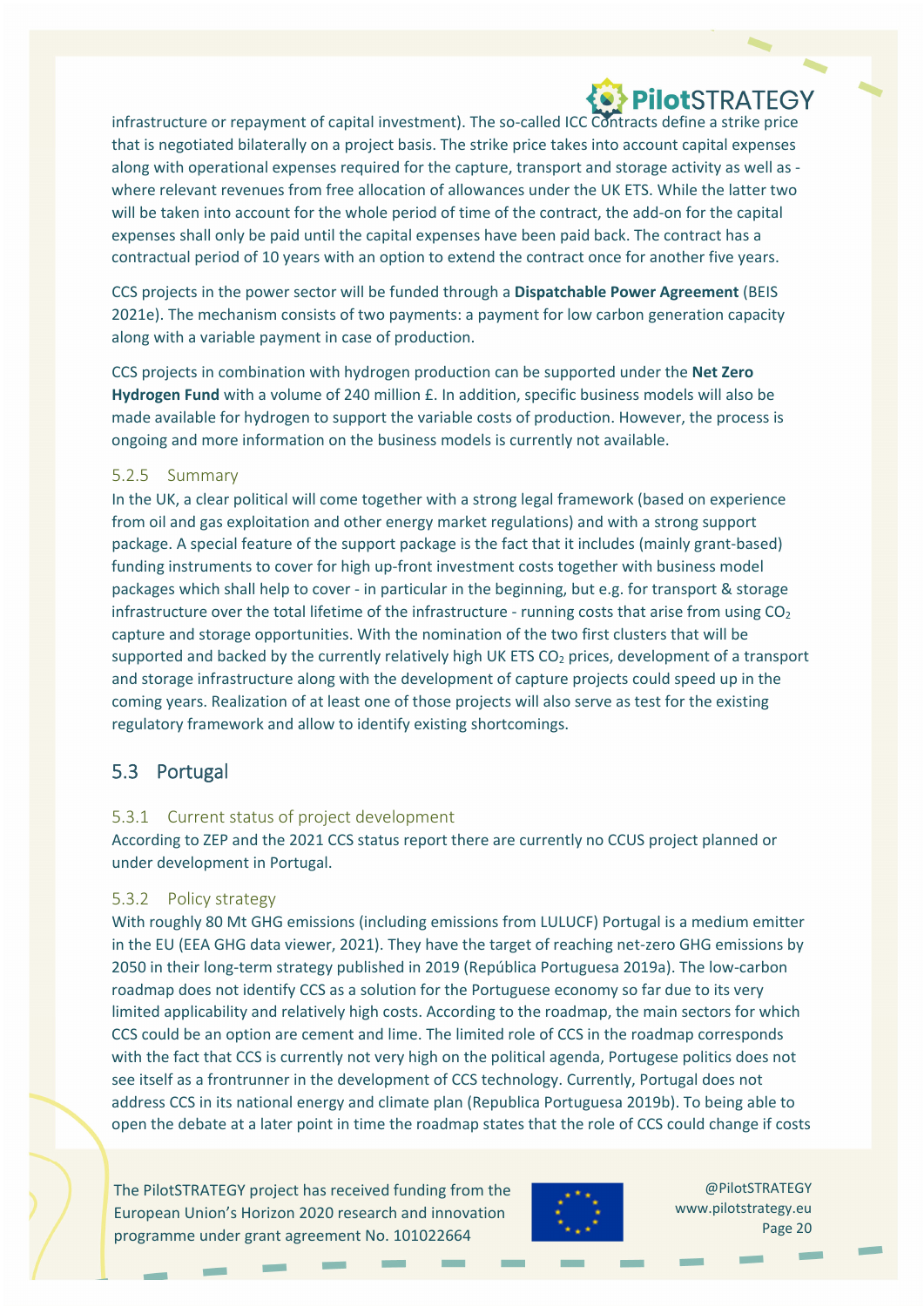infrastructure or repayment of capital investment). The so-called ICC Contracts define a strike price that is negotiated bilaterally on a project basis. The strike price takes into account capital expenses along with operational expenses required for the capture, transport and storage activity as well as ‐ where relevant revenues from free allocation of allowances under the UK ETS. While the latter two will be taken into account for the whole period of time of the contract, the add-on for the capital expenses shall only be paid until the capital expenses have been paid back. The contract has a contractual period of 10 years with an option to extend the contract once for another five years.

CCS projects in the power sector will be funded through a **Dispatchable Power Agreement** (BEIS 2021e). The mechanism consists of two payments: a payment for low carbon generation capacity along with a variable payment in case of production.

CCS projects in combination with hydrogen production can be supported under the **Net Zero Hydrogen Fund** with a volume of 240 million £. In addition, specific business models will also be made available for hydrogen to support the variable costs of production. However, the process is ongoing and more information on the business models is currently not available.

#### 5.2.5 Summary

In the UK, a clear political will come together with a strong legal framework (based on experience from oil and gas exploitation and other energy market regulations) and with a strong support package. A special feature of the support package is the fact that it includes (mainly grant‐based) funding instruments to cover for high up-front investment costs together with business model packages which shall help to cover ‐ in particular in the beginning, but e.g. for transport & storage infrastructure over the total lifetime of the infrastructure - running costs that arise from using  $CO<sub>2</sub>$ capture and storage opportunities. With the nomination of the two first clusters that will be supported and backed by the currently relatively high UK ETS  $CO<sub>2</sub>$  prices, development of a transport and storage infrastructure along with the development of capture projects could speed up in the coming years. Realization of at least one of those projects will also serve as test for the existing regulatory framework and allow to identify existing shortcomings.

#### 5.3 Portugal

#### 5.3.1 Current status of project development

According to ZEP and the 2021 CCS status report there are currently no CCUS project planned or under development in Portugal.

#### 5.3.2 Policy strategy

With roughly 80 Mt GHG emissions (including emissions from LULUCF) Portugal is a medium emitter in the EU (EEA GHG data viewer, 2021). They have the target of reaching net‐zero GHG emissions by 2050 in their long‐term strategy published in 2019 (República Portuguesa 2019a). The low‐carbon roadmap does not identify CCS as a solution for the Portuguese economy so far due to its very limited applicability and relatively high costs. According to the roadmap, the main sectors for which CCS could be an option are cement and lime. The limited role of CCS in the roadmap corresponds with the fact that CCS is currently not very high on the political agenda, Portugese politics does not see itself as a frontrunner in the development of CCS technology. Currently, Portugal does not address CCS in its national energy and climate plan (Republica Portuguesa 2019b). To being able to open the debate at a later point in time the roadmap states that the role of CCS could change if costs

The PilotSTRATEGY project has received funding from the European Union's Horizon 2020 research and innovation programme under grant agreement No. 101022664

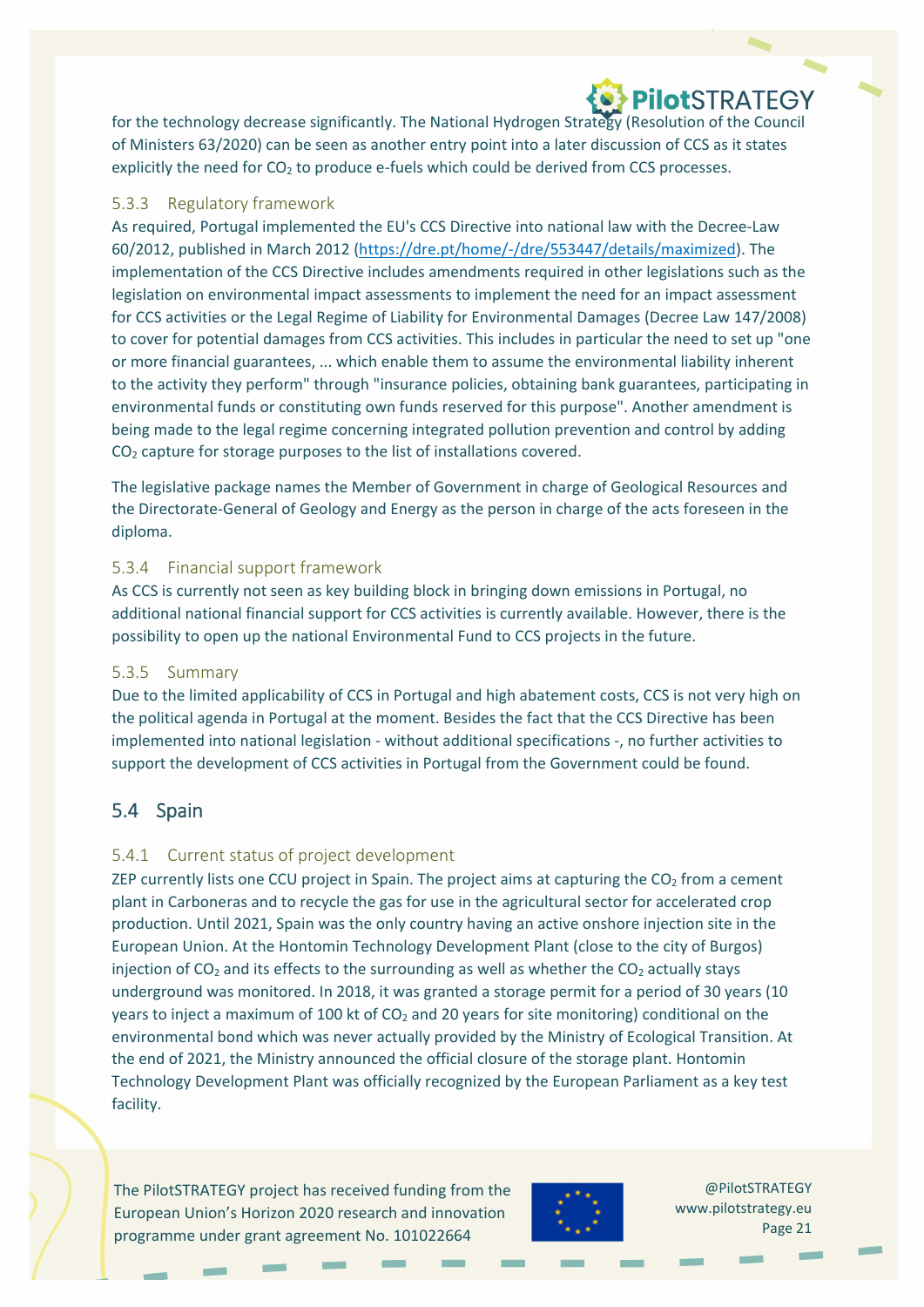for the technology decrease significantly. The National Hydrogen Strategy (Resolution of the Council of Ministers 63/2020) can be seen as another entry point into a later discussion of CCS as it states explicitly the need for  $CO<sub>2</sub>$  to produce e-fuels which could be derived from CCS processes.

#### 5.3.3 Regulatory framework

As required, Portugal implemented the EU's CCS Directive into national law with the Decree‐Law 60/2012, published in March 2012 (https://dre.pt/home/‐/dre/553447/details/maximized). The implementation of the CCS Directive includes amendments required in other legislations such as the legislation on environmental impact assessments to implement the need for an impact assessment for CCS activities or the Legal Regime of Liability for Environmental Damages (Decree Law 147/2008) to cover for potential damages from CCS activities. This includes in particular the need to set up "one or more financial guarantees, ... which enable them to assume the environmental liability inherent to the activity they perform" through "insurance policies, obtaining bank guarantees, participating in environmental funds or constituting own funds reserved for this purpose". Another amendment is being made to the legal regime concerning integrated pollution prevention and control by adding  $CO<sub>2</sub>$  capture for storage purposes to the list of installations covered.

The legislative package names the Member of Government in charge of Geological Resources and the Directorate‐General of Geology and Energy as the person in charge of the acts foreseen in the diploma.

#### 5.3.4 Financial support framework

As CCS is currently not seen as key building block in bringing down emissions in Portugal, no additional national financial support for CCS activities is currently available. However, there is the possibility to open up the national Environmental Fund to CCS projects in the future.

#### 5.3.5 Summary

Due to the limited applicability of CCS in Portugal and high abatement costs, CCS is not very high on the political agenda in Portugal at the moment. Besides the fact that the CCS Directive has been implemented into national legislation ‐ without additional specifications ‐, no further activities to support the development of CCS activities in Portugal from the Government could be found.

#### 5.4 Spain

#### 5.4.1 Current status of project development

ZEP currently lists one CCU project in Spain. The project aims at capturing the  $CO<sub>2</sub>$  from a cement plant in Carboneras and to recycle the gas for use in the agricultural sector for accelerated crop production. Until 2021, Spain was the only country having an active onshore injection site in the European Union. At the Hontomin Technology Development Plant (close to the city of Burgos) injection of  $CO<sub>2</sub>$  and its effects to the surrounding as well as whether the  $CO<sub>2</sub>$  actually stays underground was monitored. In 2018, it was granted a storage permit for a period of 30 years (10 years to inject a maximum of 100 kt of  $CO<sub>2</sub>$  and 20 years for site monitoring) conditional on the environmental bond which was never actually provided by the Ministry of Ecological Transition. At the end of 2021, the Ministry announced the official closure of the storage plant. Hontomin Technology Development Plant was officially recognized by the European Parliament as a key test facility.

The PilotSTRATEGY project has received funding from the European Union's Horizon 2020 research and innovation programme under grant agreement No. 101022664

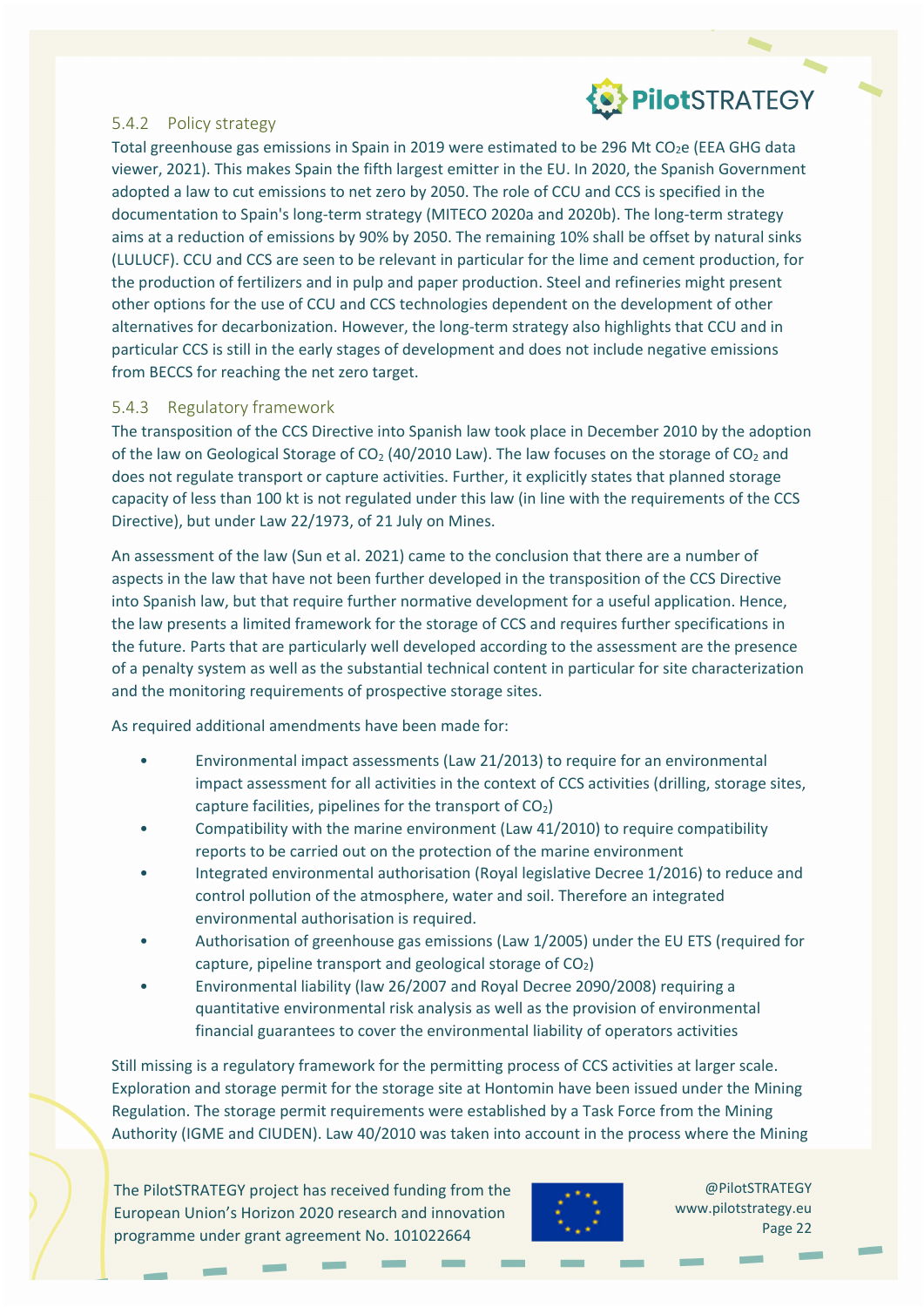#### 5.4.2 Policy strategy

Total greenhouse gas emissions in Spain in 2019 were estimated to be 296 Mt CO<sub>2</sub>e (EEA GHG data viewer, 2021). This makes Spain the fifth largest emitter in the EU. In 2020, the Spanish Government adopted a law to cut emissions to net zero by 2050. The role of CCU and CCS is specified in the documentation to Spain's long‐term strategy (MITECO 2020a and 2020b). The long‐term strategy aims at a reduction of emissions by 90% by 2050. The remaining 10% shall be offset by natural sinks (LULUCF). CCU and CCS are seen to be relevant in particular for the lime and cement production, for the production of fertilizers and in pulp and paper production. Steel and refineries might present other options for the use of CCU and CCS technologies dependent on the development of other alternatives for decarbonization. However, the long-term strategy also highlights that CCU and in particular CCS is still in the early stages of development and does not include negative emissions from BECCS for reaching the net zero target.

#### 5.4.3 Regulatory framework

The transposition of the CCS Directive into Spanish law took place in December 2010 by the adoption of the law on Geological Storage of  $CO<sub>2</sub>$  (40/2010 Law). The law focuses on the storage of  $CO<sub>2</sub>$  and does not regulate transport or capture activities. Further, it explicitly states that planned storage capacity of less than 100 kt is not regulated under this law (in line with the requirements of the CCS Directive), but under Law 22/1973, of 21 July on Mines.

An assessment of the law (Sun et al. 2021) came to the conclusion that there are a number of aspects in the law that have not been further developed in the transposition of the CCS Directive into Spanish law, but that require further normative development for a useful application. Hence, the law presents a limited framework for the storage of CCS and requires further specifications in the future. Parts that are particularly well developed according to the assessment are the presence of a penalty system as well as the substantial technical content in particular for site characterization and the monitoring requirements of prospective storage sites.

As required additional amendments have been made for:

- Environmental impact assessments (Law 21/2013) to require for an environmental impact assessment for all activities in the context of CCS activities (drilling, storage sites, capture facilities, pipelines for the transport of  $CO<sub>2</sub>$ )
- Compatibility with the marine environment (Law 41/2010) to require compatibility reports to be carried out on the protection of the marine environment
- Integrated environmental authorisation (Royal legislative Decree 1/2016) to reduce and control pollution of the atmosphere, water and soil. Therefore an integrated environmental authorisation is required.
- Authorisation of greenhouse gas emissions (Law 1/2005) under the EU ETS (required for capture, pipeline transport and geological storage of  $CO<sub>2</sub>$ )
- Environmental liability (law 26/2007 and Royal Decree 2090/2008) requiring a quantitative environmental risk analysis as well as the provision of environmental financial guarantees to cover the environmental liability of operators activities

Still missing is a regulatory framework for the permitting process of CCS activities at larger scale. Exploration and storage permit for the storage site at Hontomin have been issued under the Mining Regulation. The storage permit requirements were established by a Task Force from the Mining Authority (IGME and CIUDEN). Law 40/2010 was taken into account in the process where the Mining

The PilotSTRATEGY project has received funding from the European Union's Horizon 2020 research and innovation programme under grant agreement No. 101022664

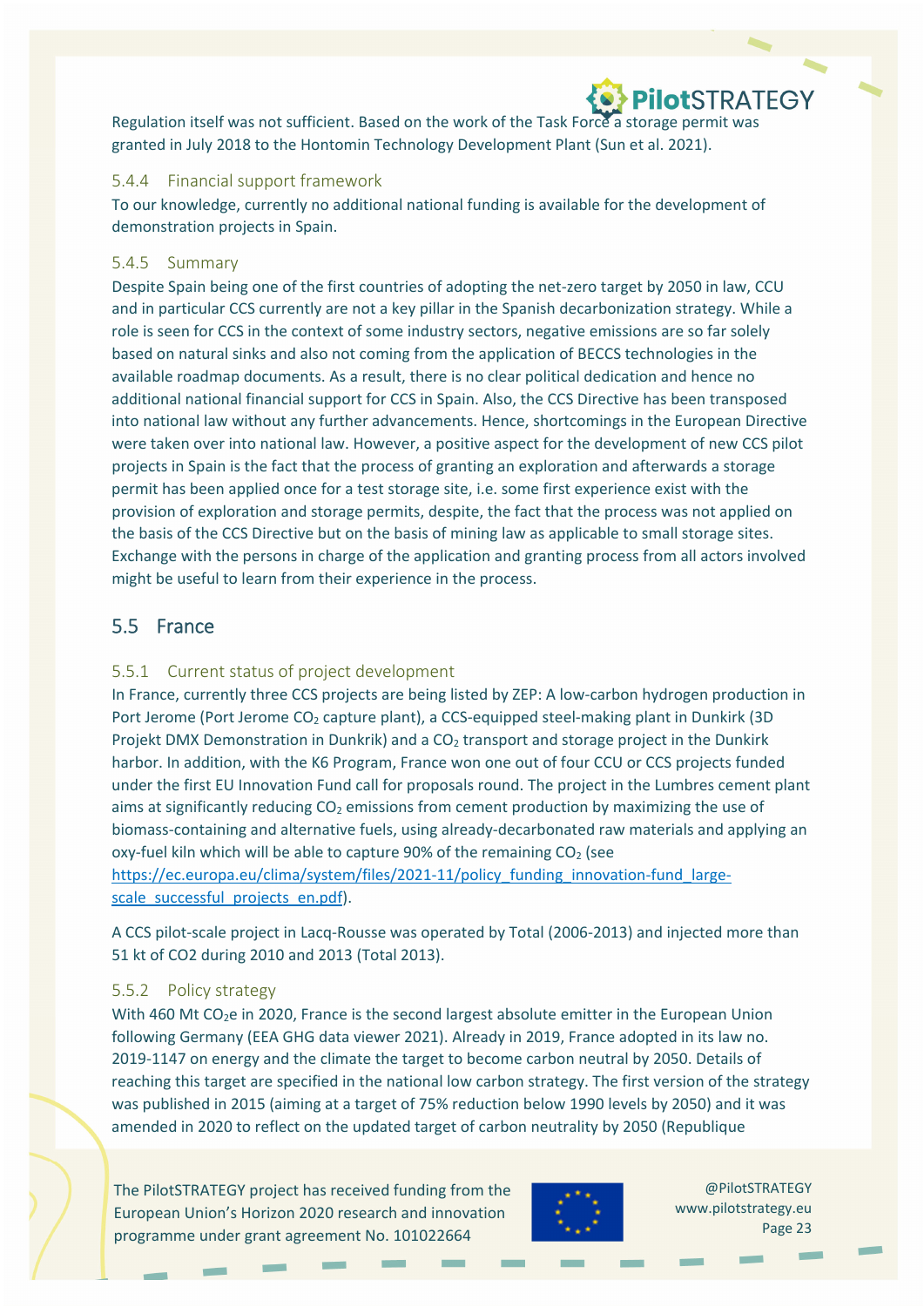# **OPIOTSTRATEGY**

Regulation itself was not sufficient. Based on the work of the Task Force a storage permit was granted in July 2018 to the Hontomin Technology Development Plant (Sun et al. 2021).

#### 5.4.4 Financial support framework

To our knowledge, currently no additional national funding is available for the development of demonstration projects in Spain.

#### 5.4.5 Summary

Despite Spain being one of the first countries of adopting the net-zero target by 2050 in law, CCU and in particular CCS currently are not a key pillar in the Spanish decarbonization strategy. While a role is seen for CCS in the context of some industry sectors, negative emissions are so far solely based on natural sinks and also not coming from the application of BECCS technologies in the available roadmap documents. As a result, there is no clear political dedication and hence no additional national financial support for CCS in Spain. Also, the CCS Directive has been transposed into national law without any further advancements. Hence, shortcomings in the European Directive were taken over into national law. However, a positive aspect for the development of new CCS pilot projects in Spain is the fact that the process of granting an exploration and afterwards a storage permit has been applied once for a test storage site, i.e. some first experience exist with the provision of exploration and storage permits, despite, the fact that the process was not applied on the basis of the CCS Directive but on the basis of mining law as applicable to small storage sites. Exchange with the persons in charge of the application and granting process from all actors involved might be useful to learn from their experience in the process.

#### 5.5 France

#### 5.5.1 Current status of project development

In France, currently three CCS projects are being listed by ZEP: A low-carbon hydrogen production in Port Jerome (Port Jerome CO<sub>2</sub> capture plant), a CCS-equipped steel-making plant in Dunkirk (3D Projekt DMX Demonstration in Dunkrik) and a CO<sub>2</sub> transport and storage project in the Dunkirk harbor. In addition, with the K6 Program, France won one out of four CCU or CCS projects funded under the first EU Innovation Fund call for proposals round. The project in the Lumbres cement plant aims at significantly reducing  $CO<sub>2</sub>$  emissions from cement production by maximizing the use of biomass‐containing and alternative fuels, using already‐decarbonated raw materials and applying an oxy-fuel kiln which will be able to capture 90% of the remaining  $CO<sub>2</sub>$  (see https://ec.europa.eu/clima/system/files/2021-11/policy\_funding\_innovation-fund\_largescale\_successful\_projects\_en.pdf).

A CCS pilot‐scale project in Lacq‐Rousse was operated by Total (2006‐2013) and injected more than 51 kt of CO2 during 2010 and 2013 (Total 2013).

#### 5.5.2 Policy strategy

With 460 Mt CO<sub>2</sub>e in 2020, France is the second largest absolute emitter in the European Union following Germany (EEA GHG data viewer 2021). Already in 2019, France adopted in its law no. 2019-1147 on energy and the climate the target to become carbon neutral by 2050. Details of reaching this target are specified in the national low carbon strategy. The first version of the strategy was published in 2015 (aiming at a target of 75% reduction below 1990 levels by 2050) and it was amended in 2020 to reflect on the updated target of carbon neutrality by 2050 (Republique

The PilotSTRATEGY project has received funding from the European Union's Horizon 2020 research and innovation programme under grant agreement No. 101022664

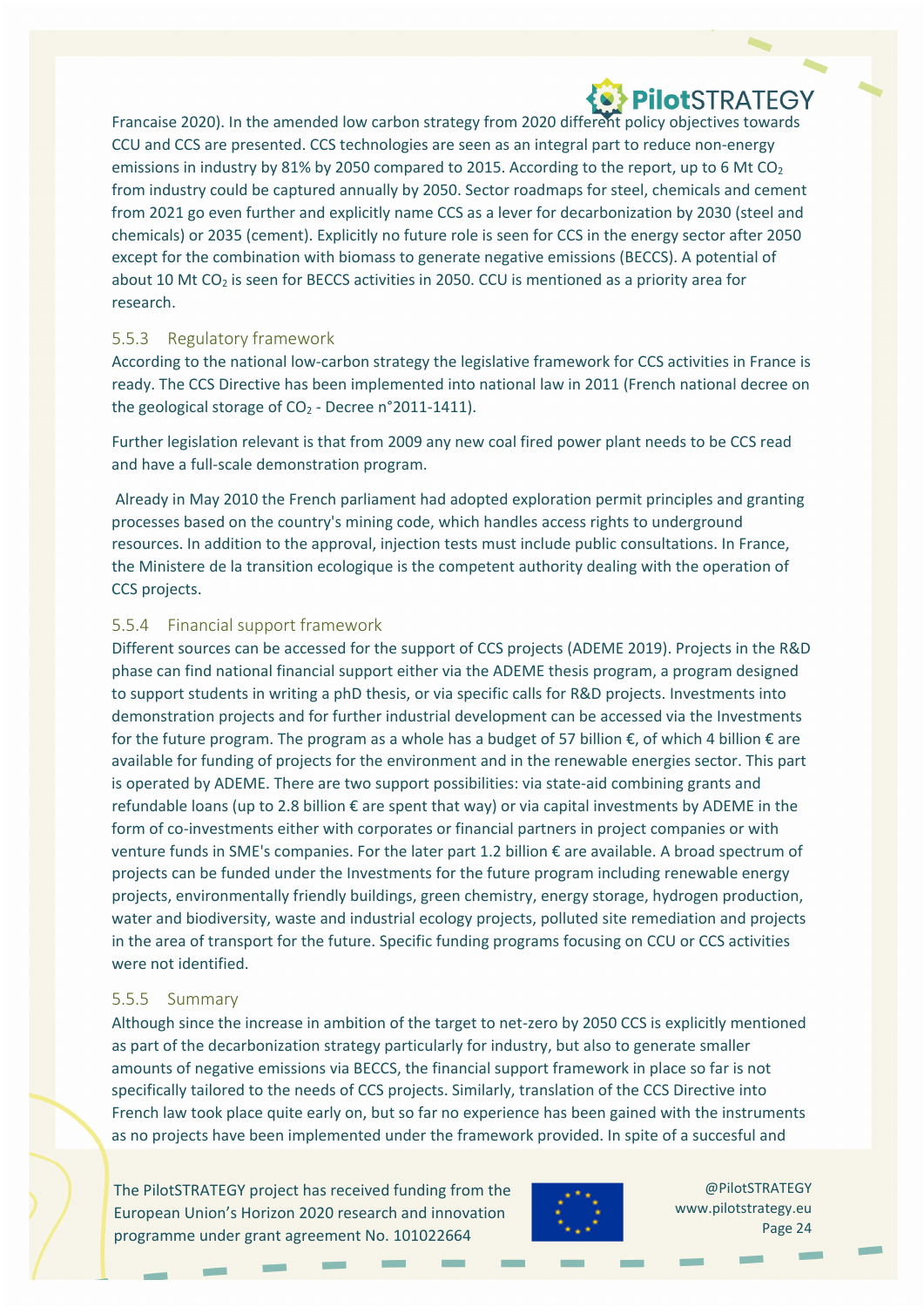Francaise 2020). In the amended low carbon strategy from 2020 different policy objectives towards CCU and CCS are presented. CCS technologies are seen as an integral part to reduce non‐energy emissions in industry by 81% by 2050 compared to 2015. According to the report, up to 6 Mt  $CO<sub>2</sub>$ from industry could be captured annually by 2050. Sector roadmaps for steel, chemicals and cement from 2021 go even further and explicitly name CCS as a lever for decarbonization by 2030 (steel and chemicals) or 2035 (cement). Explicitly no future role is seen for CCS in the energy sector after 2050 except for the combination with biomass to generate negative emissions (BECCS). A potential of about 10 Mt CO<sub>2</sub> is seen for BECCS activities in 2050. CCU is mentioned as a priority area for research.

#### 5.5.3 Regulatory framework

According to the national low‐carbon strategy the legislative framework for CCS activities in France is ready. The CCS Directive has been implemented into national law in 2011 (French national decree on the geological storage of  $CO<sub>2</sub>$  - Decree n°2011-1411).

Further legislation relevant is that from 2009 any new coal fired power plant needs to be CCS read and have a full‐scale demonstration program.

Already in May 2010 the French parliament had adopted exploration permit principles and granting processes based on the country's mining code, which handles access rights to underground resources. In addition to the approval, injection tests must include public consultations. In France, the Ministere de la transition ecologique is the competent authority dealing with the operation of CCS projects.

#### 5.5.4 Financial support framework

Different sources can be accessed for the support of CCS projects (ADEME 2019). Projects in the R&D phase can find national financial support either via the ADEME thesis program, a program designed to support students in writing a phD thesis, or via specific calls for R&D projects. Investments into demonstration projects and for further industrial development can be accessed via the Investments for the future program. The program as a whole has a budget of 57 billion  $\epsilon$ , of which 4 billion  $\epsilon$  are available for funding of projects for the environment and in the renewable energies sector. This part is operated by ADEME. There are two support possibilities: via state-aid combining grants and refundable loans (up to 2.8 billion € are spent that way) or via capital investments by ADEME in the form of co-investments either with corporates or financial partners in project companies or with venture funds in SME's companies. For the later part 1.2 billion € are available. A broad spectrum of projects can be funded under the Investments for the future program including renewable energy projects, environmentally friendly buildings, green chemistry, energy storage, hydrogen production, water and biodiversity, waste and industrial ecology projects, polluted site remediation and projects in the area of transport for the future. Specific funding programs focusing on CCU or CCS activities were not identified.

#### 5.5.5 Summary

Although since the increase in ambition of the target to net‐zero by 2050 CCS is explicitly mentioned as part of the decarbonization strategy particularly for industry, but also to generate smaller amounts of negative emissions via BECCS, the financial support framework in place so far is not specifically tailored to the needs of CCS projects. Similarly, translation of the CCS Directive into French law took place quite early on, but so far no experience has been gained with the instruments as no projects have been implemented under the framework provided. In spite of a succesful and

The PilotSTRATEGY project has received funding from the European Union's Horizon 2020 research and innovation programme under grant agreement No. 101022664

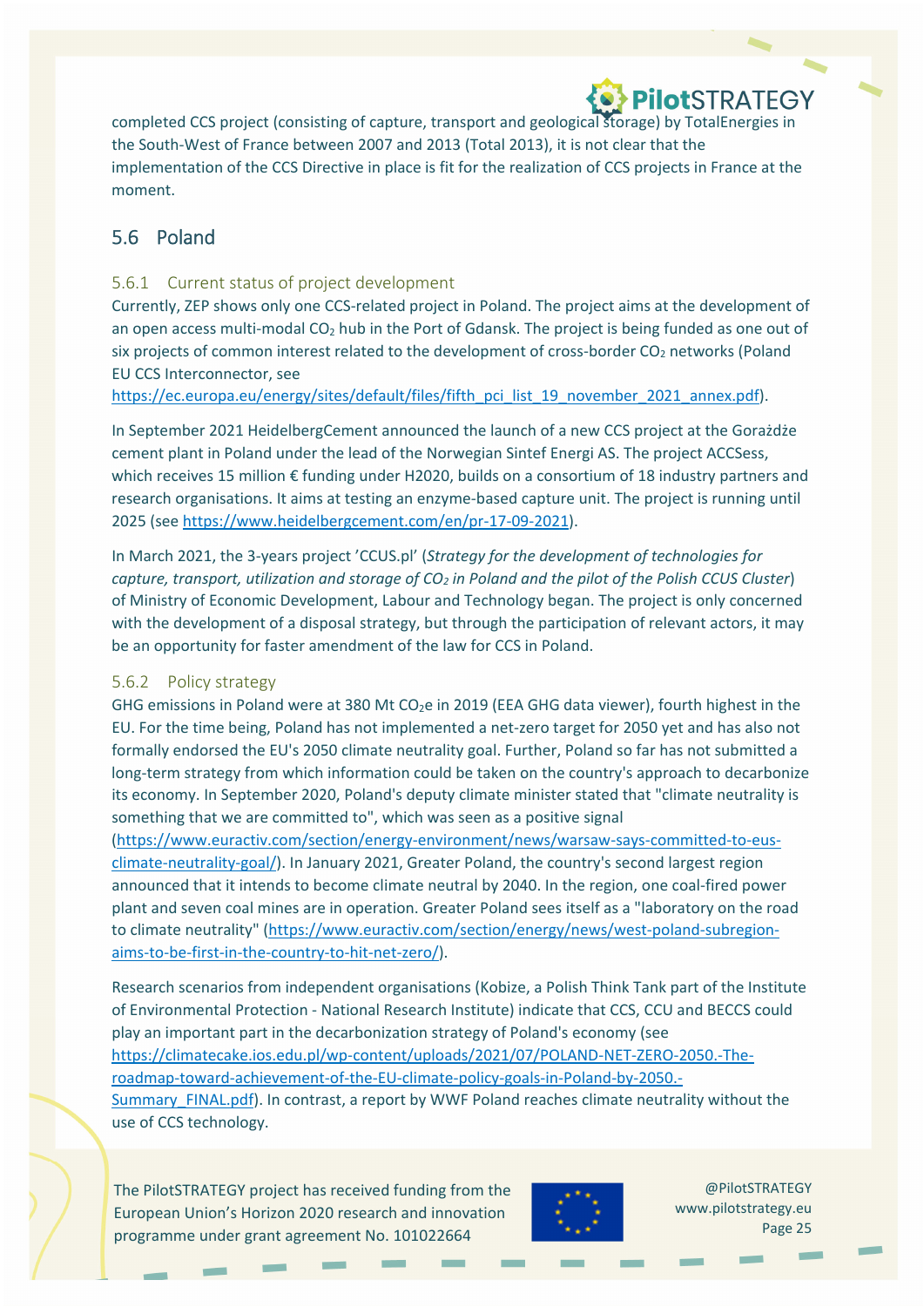completed CCS project (consisting of capture, transport and geological storage) by TotalEnergies in the South‐West of France between 2007 and 2013 (Total 2013), it is not clear that the implementation of the CCS Directive in place is fit for the realization of CCS projects in France at the moment.

### 5.6 Poland

#### 5.6.1 Current status of project development

Currently, ZEP shows only one CCS‐related project in Poland. The project aims at the development of an open access multi-modal CO<sub>2</sub> hub in the Port of Gdansk. The project is being funded as one out of six projects of common interest related to the development of cross-border CO<sub>2</sub> networks (Poland EU CCS Interconnector, see

https://ec.europa.eu/energy/sites/default/files/fifth\_pci\_list\_19\_november\_2021\_annex.pdf).

In September 2021 HeidelbergCement announced the launch of a new CCS project at the Gorażdże cement plant in Poland under the lead of the Norwegian Sintef Energi AS. The project ACCSess, which receives 15 million € funding under H2020, builds on a consortium of 18 industry partners and research organisations. It aims at testing an enzyme‐based capture unit. The project is running until 2025 (see https://www.heidelbergcement.com/en/pr‐17‐09‐2021).

In March 2021, the 3‐years project 'CCUS.pl' (*Strategy for the development of technologies for capture, transport, utilization and storage of CO2 in Poland and the pilot of the Polish CCUS Cluster*) of Ministry of Economic Development, Labour and Technology began. The project is only concerned with the development of a disposal strategy, but through the participation of relevant actors, it may be an opportunity for faster amendment of the law for CCS in Poland.

#### 5.6.2 Policy strategy

GHG emissions in Poland were at 380 Mt  $CO<sub>2</sub>e$  in 2019 (EEA GHG data viewer), fourth highest in the EU. For the time being, Poland has not implemented a net‐zero target for 2050 yet and has also not formally endorsed the EU's 2050 climate neutrality goal. Further, Poland so far has not submitted a long-term strategy from which information could be taken on the country's approach to decarbonize its economy. In September 2020, Poland's deputy climate minister stated that "climate neutrality is something that we are committed to", which was seen as a positive signal

(https://www.euractiv.com/section/energy‐environment/news/warsaw‐says‐committed‐to‐eus‐ climate‐neutrality‐goal/). In January 2021, Greater Poland, the country's second largest region announced that it intends to become climate neutral by 2040. In the region, one coal‐fired power plant and seven coal mines are in operation. Greater Poland sees itself as a "laboratory on the road to climate neutrality" (https://www.euractiv.com/section/energy/news/west-poland-subregionaims‐to‐be‐first‐in‐the‐country‐to‐hit‐net‐zero/).

Research scenarios from independent organisations (Kobize, a Polish Think Tank part of the Institute of Environmental Protection ‐ National Research Institute) indicate that CCS, CCU and BECCS could play an important part in the decarbonization strategy of Poland's economy (see https://climatecake.ios.edu.pl/wp‐content/uploads/2021/07/POLAND‐NET‐ZERO‐2050.‐The‐ roadmap‐toward‐achievement‐of‐the‐EU‐climate‐policy‐goals‐in‐Poland‐by‐2050.‐ Summary FINAL.pdf). In contrast, a report by WWF Poland reaches climate neutrality without the use of CCS technology.

The PilotSTRATEGY project has received funding from the European Union's Horizon 2020 research and innovation programme under grant agreement No. 101022664

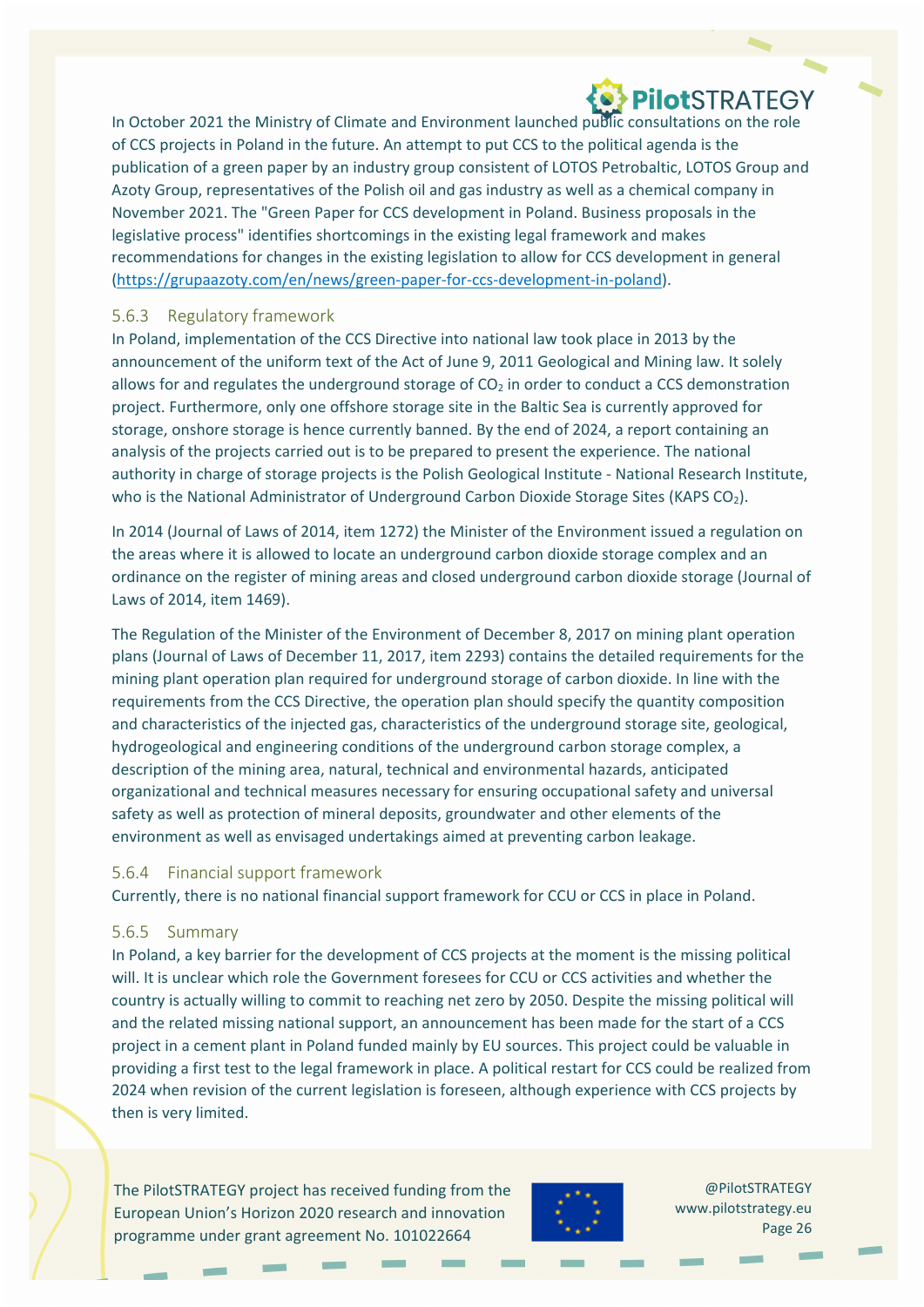# **OPIOTSTRATEGY**

In October 2021 the Ministry of Climate and Environment launched public consultations on the role of CCS projects in Poland in the future. An attempt to put CCS to the political agenda is the publication of a green paper by an industry group consistent of LOTOS Petrobaltic, LOTOS Group and Azoty Group, representatives of the Polish oil and gas industry as well as a chemical company in November 2021. The "Green Paper for CCS development in Poland. Business proposals in the legislative process" identifies shortcomings in the existing legal framework and makes recommendations for changes in the existing legislation to allow for CCS development in general (https://grupaazoty.com/en/news/green‐paper‐for‐ccs‐development‐in‐poland).

#### 5.6.3 Regulatory framework

In Poland, implementation of the CCS Directive into national law took place in 2013 by the announcement of the uniform text of the Act of June 9, 2011 Geological and Mining law. It solely allows for and regulates the underground storage of  $CO<sub>2</sub>$  in order to conduct a CCS demonstration project. Furthermore, only one offshore storage site in the Baltic Sea is currently approved for storage, onshore storage is hence currently banned. By the end of 2024, a report containing an analysis of the projects carried out is to be prepared to present the experience. The national authority in charge of storage projects is the Polish Geological Institute ‐ National Research Institute, who is the National Administrator of Underground Carbon Dioxide Storage Sites (KAPS CO<sub>2</sub>).

In 2014 (Journal of Laws of 2014, item 1272) the Minister of the Environment issued a regulation on the areas where it is allowed to locate an underground carbon dioxide storage complex and an ordinance on the register of mining areas and closed underground carbon dioxide storage (Journal of Laws of 2014, item 1469).

The Regulation of the Minister of the Environment of December 8, 2017 on mining plant operation plans (Journal of Laws of December 11, 2017, item 2293) contains the detailed requirements for the mining plant operation plan required for underground storage of carbon dioxide. In line with the requirements from the CCS Directive, the operation plan should specify the quantity composition and characteristics of the injected gas, characteristics of the underground storage site, geological, hydrogeological and engineering conditions of the underground carbon storage complex, a description of the mining area, natural, technical and environmental hazards, anticipated organizational and technical measures necessary for ensuring occupational safety and universal safety as well as protection of mineral deposits, groundwater and other elements of the environment as well as envisaged undertakings aimed at preventing carbon leakage.

#### 5.6.4 Financial support framework

Currently, there is no national financial support framework for CCU or CCS in place in Poland.

#### 5.6.5 Summary

In Poland, a key barrier for the development of CCS projects at the moment is the missing political will. It is unclear which role the Government foresees for CCU or CCS activities and whether the country is actually willing to commit to reaching net zero by 2050. Despite the missing political will and the related missing national support, an announcement has been made for the start of a CCS project in a cement plant in Poland funded mainly by EU sources. This project could be valuable in providing a first test to the legal framework in place. A political restart for CCS could be realized from 2024 when revision of the current legislation is foreseen, although experience with CCS projects by then is very limited.

The PilotSTRATEGY project has received funding from the European Union's Horizon 2020 research and innovation programme under grant agreement No. 101022664

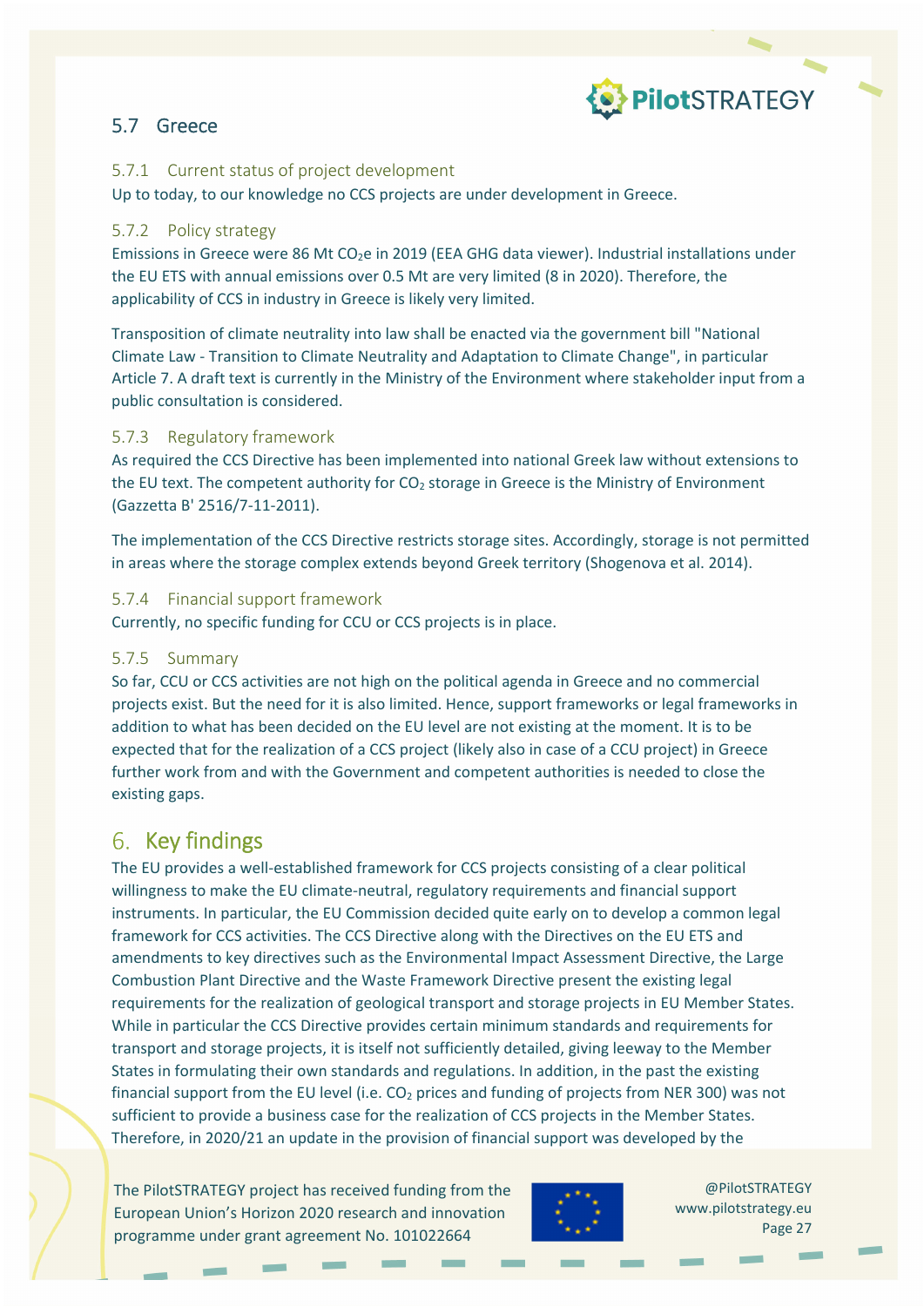

### 5.7 Greece

#### 5.7.1 Current status of project development

Up to today, to our knowledge no CCS projects are under development in Greece.

#### 5.7.2 Policy strategy

Emissions in Greece were 86 Mt CO<sub>2</sub>e in 2019 (EEA GHG data viewer). Industrial installations under the EU ETS with annual emissions over 0.5 Mt are very limited (8 in 2020). Therefore, the applicability of CCS in industry in Greece is likely very limited.

Transposition of climate neutrality into law shall be enacted via the government bill "National Climate Law ‐ Transition to Climate Neutrality and Adaptation to Climate Change", in particular Article 7. A draft text is currently in the Ministry of the Environment where stakeholder input from a public consultation is considered.

#### 5.7.3 Regulatory framework

As required the CCS Directive has been implemented into national Greek law without extensions to the EU text. The competent authority for  $CO<sub>2</sub>$  storage in Greece is the Ministry of Environment (Gazzetta B' 2516/7‐11‐2011).

The implementation of the CCS Directive restricts storage sites. Accordingly, storage is not permitted in areas where the storage complex extends beyond Greek territory (Shogenova et al. 2014).

#### 5.7.4 Financial support framework

Currently, no specific funding for CCU or CCS projects is in place.

#### 5.7.5 Summary

So far, CCU or CCS activities are not high on the political agenda in Greece and no commercial projects exist. But the need for it is also limited. Hence, support frameworks or legal frameworks in addition to what has been decided on the EU level are not existing at the moment. It is to be expected that for the realization of a CCS project (likely also in case of a CCU project) in Greece further work from and with the Government and competent authorities is needed to close the existing gaps.

### 6. Key findings

The EU provides a well-established framework for CCS projects consisting of a clear political willingness to make the EU climate-neutral, regulatory requirements and financial support instruments. In particular, the EU Commission decided quite early on to develop a common legal framework for CCS activities. The CCS Directive along with the Directives on the EU ETS and amendments to key directives such as the Environmental Impact Assessment Directive, the Large Combustion Plant Directive and the Waste Framework Directive present the existing legal requirements for the realization of geological transport and storage projects in EU Member States. While in particular the CCS Directive provides certain minimum standards and requirements for transport and storage projects, it is itself not sufficiently detailed, giving leeway to the Member States in formulating their own standards and regulations. In addition, in the past the existing financial support from the EU level (i.e.  $CO<sub>2</sub>$  prices and funding of projects from NER 300) was not sufficient to provide a business case for the realization of CCS projects in the Member States. Therefore, in 2020/21 an update in the provision of financial support was developed by the

The PilotSTRATEGY project has received funding from the European Union's Horizon 2020 research and innovation programme under grant agreement No. 101022664

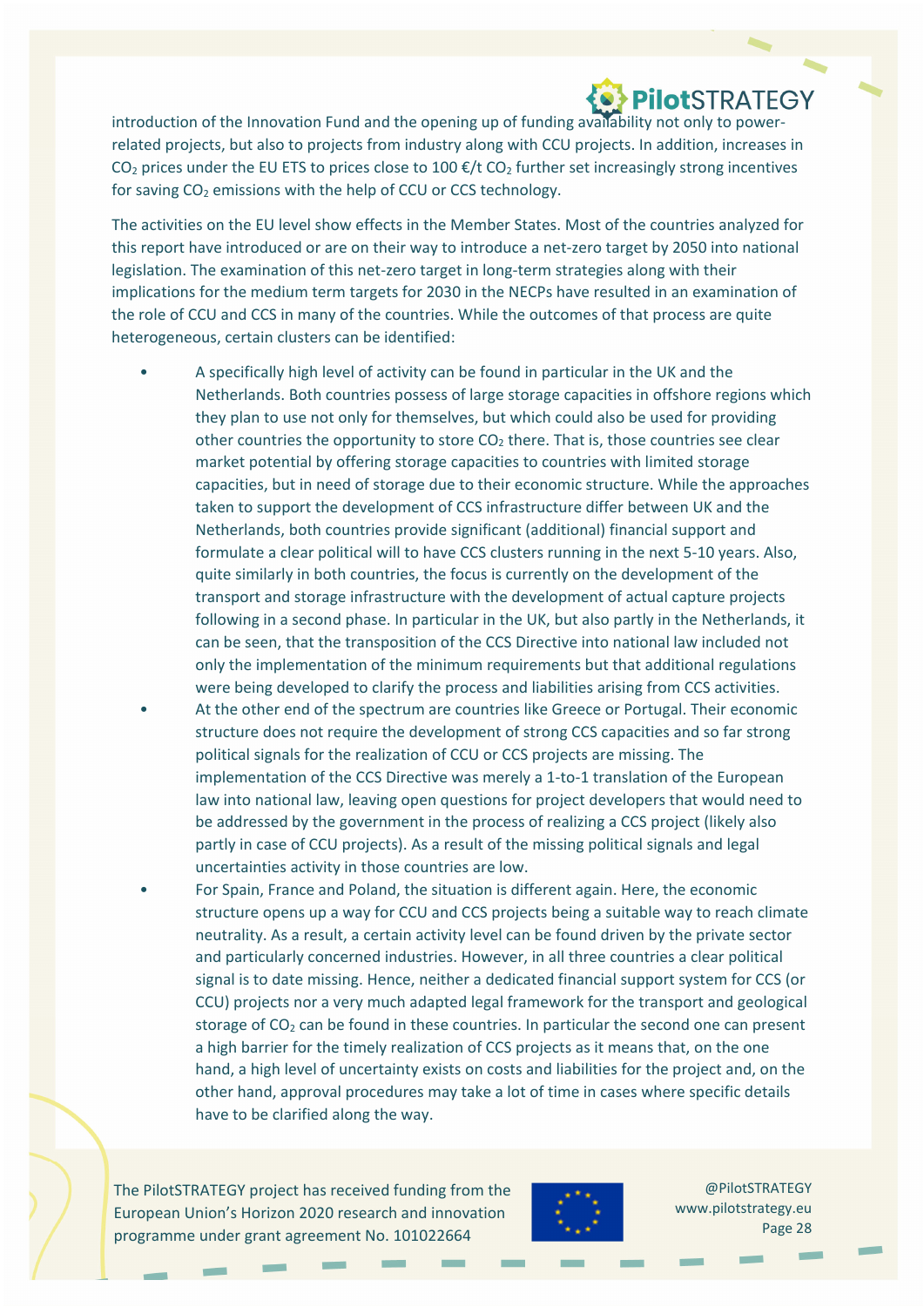# **O PIIOtSTRATEGY**

introduction of the Innovation Fund and the opening up of funding availability not only to power‐ related projects, but also to projects from industry along with CCU projects. In addition, increases in  $CO<sub>2</sub>$  prices under the EU ETS to prices close to 100  $E/t$  CO<sub>2</sub> further set increasingly strong incentives for saving  $CO<sub>2</sub>$  emissions with the help of CCU or CCS technology.

The activities on the EU level show effects in the Member States. Most of the countries analyzed for this report have introduced or are on their way to introduce a net‐zero target by 2050 into national legislation. The examination of this net-zero target in long-term strategies along with their implications for the medium term targets for 2030 in the NECPs have resulted in an examination of the role of CCU and CCS in many of the countries. While the outcomes of that process are quite heterogeneous, certain clusters can be identified:

- A specifically high level of activity can be found in particular in the UK and the Netherlands. Both countries possess of large storage capacities in offshore regions which they plan to use not only for themselves, but which could also be used for providing other countries the opportunity to store  $CO<sub>2</sub>$  there. That is, those countries see clear market potential by offering storage capacities to countries with limited storage capacities, but in need of storage due to their economic structure. While the approaches taken to support the development of CCS infrastructure differ between UK and the Netherlands, both countries provide significant (additional) financial support and formulate a clear political will to have CCS clusters running in the next 5‐10 years. Also, quite similarly in both countries, the focus is currently on the development of the transport and storage infrastructure with the development of actual capture projects following in a second phase. In particular in the UK, but also partly in the Netherlands, it can be seen, that the transposition of the CCS Directive into national law included not only the implementation of the minimum requirements but that additional regulations were being developed to clarify the process and liabilities arising from CCS activities.
- At the other end of the spectrum are countries like Greece or Portugal. Their economic structure does not require the development of strong CCS capacities and so far strong political signals for the realization of CCU or CCS projects are missing. The implementation of the CCS Directive was merely a 1-to-1 translation of the European law into national law, leaving open questions for project developers that would need to be addressed by the government in the process of realizing a CCS project (likely also partly in case of CCU projects). As a result of the missing political signals and legal uncertainties activity in those countries are low.
- For Spain, France and Poland, the situation is different again. Here, the economic structure opens up a way for CCU and CCS projects being a suitable way to reach climate neutrality. As a result, a certain activity level can be found driven by the private sector and particularly concerned industries. However, in all three countries a clear political signal is to date missing. Hence, neither a dedicated financial support system for CCS (or CCU) projects nor a very much adapted legal framework for the transport and geological storage of  $CO<sub>2</sub>$  can be found in these countries. In particular the second one can present a high barrier for the timely realization of CCS projects as it means that, on the one hand, a high level of uncertainty exists on costs and liabilities for the project and, on the other hand, approval procedures may take a lot of time in cases where specific details have to be clarified along the way.

The PilotSTRATEGY project has received funding from the European Union's Horizon 2020 research and innovation programme under grant agreement No. 101022664

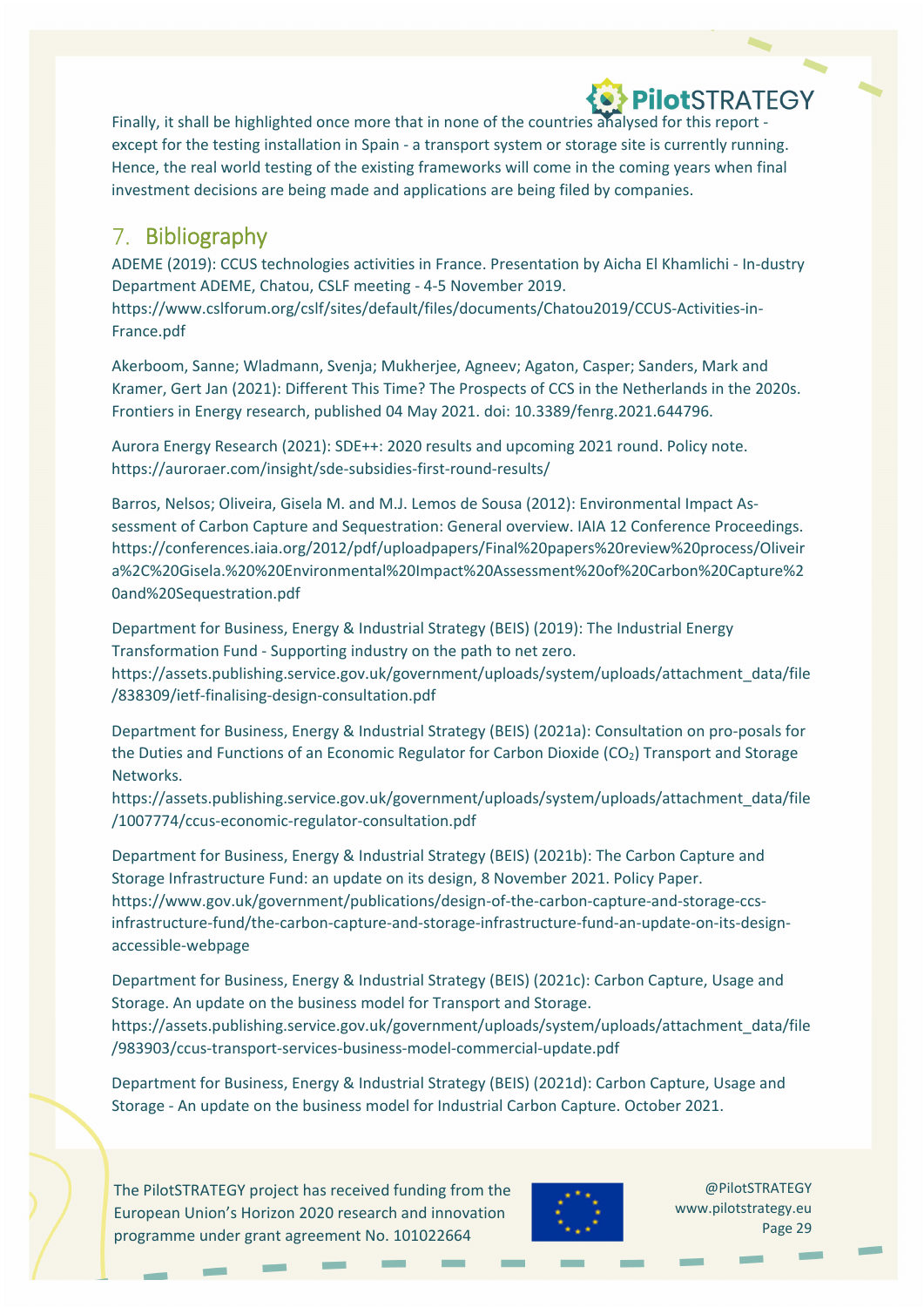Finally, it shall be highlighted once more that in none of the countries analysed for this report ‐ except for the testing installation in Spain - a transport system or storage site is currently running. Hence, the real world testing of the existing frameworks will come in the coming years when final investment decisions are being made and applications are being filed by companies.

### 7. Bibliography

ADEME (2019): CCUS technologies activities in France. Presentation by Aicha El Khamlichi ‐ In‐dustry Department ADEME, Chatou, CSLF meeting ‐ 4‐5 November 2019. https://www.cslforum.org/cslf/sites/default/files/documents/Chatou2019/CCUS‐Activities‐in‐ France.pdf

Akerboom, Sanne; Wladmann, Svenja; Mukherjee, Agneev; Agaton, Casper; Sanders, Mark and Kramer, Gert Jan (2021): Different This Time? The Prospects of CCS in the Netherlands in the 2020s. Frontiers in Energy research, published 04 May 2021. doi: 10.3389/fenrg.2021.644796.

Aurora Energy Research (2021): SDE++: 2020 results and upcoming 2021 round. Policy note. https://auroraer.com/insight/sde‐subsidies‐first‐round‐results/

Barros, Nelsos; Oliveira, Gisela M. and M.J. Lemos de Sousa (2012): Environmental Impact As‐ sessment of Carbon Capture and Sequestration: General overview. IAIA 12 Conference Proceedings. https://conferences.iaia.org/2012/pdf/uploadpapers/Final%20papers%20review%20process/Oliveir a%2C%20Gisela.%20%20Environmental%20Impact%20Assessment%20of%20Carbon%20Capture%2 0and%20Sequestration.pdf

Department for Business, Energy & Industrial Strategy (BEIS) (2019): The Industrial Energy Transformation Fund ‐ Supporting industry on the path to net zero. https://assets.publishing.service.gov.uk/government/uploads/system/uploads/attachment\_data/file /838309/ietf‐finalising‐design‐consultation.pdf

Department for Business, Energy & Industrial Strategy (BEIS) (2021a): Consultation on pro‐posals for the Duties and Functions of an Economic Regulator for Carbon Dioxide (CO<sub>2</sub>) Transport and Storage Networks.

https://assets.publishing.service.gov.uk/government/uploads/system/uploads/attachment\_data/file /1007774/ccus‐economic‐regulator‐consultation.pdf

Department for Business, Energy & Industrial Strategy (BEIS) (2021b): The Carbon Capture and Storage Infrastructure Fund: an update on its design, 8 November 2021. Policy Paper. https://www.gov.uk/government/publications/design‐of‐the‐carbon‐capture‐and‐storage‐ccs‐ infrastructure-fund/the-carbon-capture-and-storage-infrastructure-fund-an-update-on-its-designaccessible‐webpage

Department for Business, Energy & Industrial Strategy (BEIS) (2021c): Carbon Capture, Usage and Storage. An update on the business model for Transport and Storage. https://assets.publishing.service.gov.uk/government/uploads/system/uploads/attachment\_data/file /983903/ccus‐transport‐services‐business‐model‐commercial‐update.pdf

Department for Business, Energy & Industrial Strategy (BEIS) (2021d): Carbon Capture, Usage and Storage ‐ An update on the business model for Industrial Carbon Capture. October 2021.



@PilotSTRATEGY www.pilotstrategy.eu Page 29

PilotSTRATEGY

The PilotSTRATEGY project has received funding from the European Union's Horizon 2020 research and innovation programme under grant agreement No. 101022664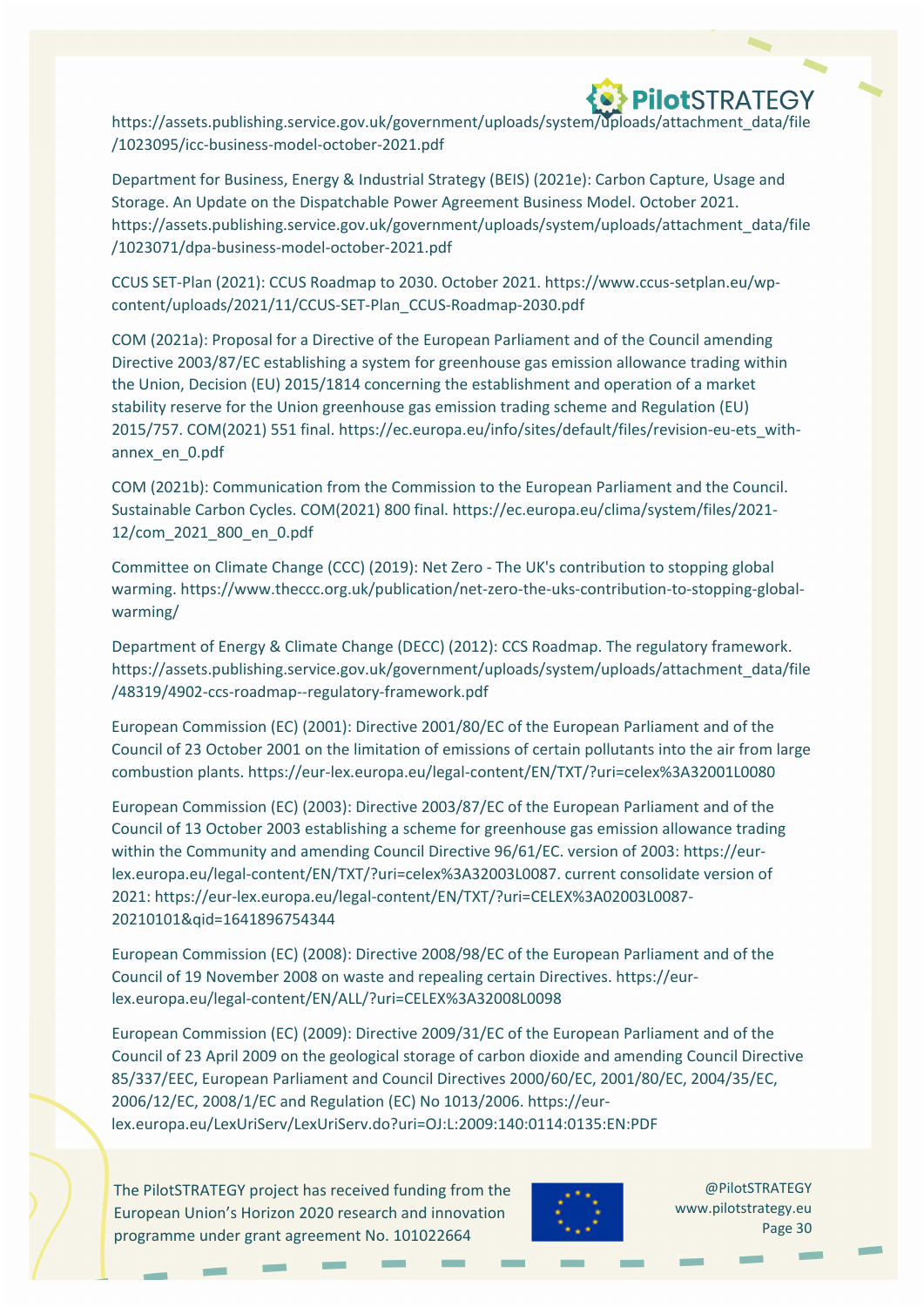https://assets.publishing.service.gov.uk/government/uploads/system/uploads/attachment\_data/file /1023095/icc‐business‐model‐october‐2021.pdf

Department for Business, Energy & Industrial Strategy (BEIS) (2021e): Carbon Capture, Usage and Storage. An Update on the Dispatchable Power Agreement Business Model. October 2021. https://assets.publishing.service.gov.uk/government/uploads/system/uploads/attachment\_data/file /1023071/dpa‐business‐model‐october‐2021.pdf

CCUS SET‐Plan (2021): CCUS Roadmap to 2030. October 2021. https://www.ccus‐setplan.eu/wp‐ content/uploads/2021/11/CCUS‐SET‐Plan\_CCUS‐Roadmap‐2030.pdf

COM (2021a): Proposal for a Directive of the European Parliament and of the Council amending Directive 2003/87/EC establishing a system for greenhouse gas emission allowance trading within the Union, Decision (EU) 2015/1814 concerning the establishment and operation of a market stability reserve for the Union greenhouse gas emission trading scheme and Regulation (EU) 2015/757. COM(2021) 551 final. https://ec.europa.eu/info/sites/default/files/revision-eu-ets\_withannex\_en\_0.pdf

COM (2021b): Communication from the Commission to the European Parliament and the Council. Sustainable Carbon Cycles. COM(2021) 800 final. https://ec.europa.eu/clima/system/files/2021‐ 12/com\_2021\_800\_en\_0.pdf

Committee on Climate Change (CCC) (2019): Net Zero ‐ The UK's contribution to stopping global warming. https://www.theccc.org.uk/publication/net-zero-the-uks-contribution-to-stopping-globalwarming/

Department of Energy & Climate Change (DECC) (2012): CCS Roadmap. The regulatory framework. https://assets.publishing.service.gov.uk/government/uploads/system/uploads/attachment\_data/file /48319/4902‐ccs‐roadmap‐‐regulatory‐framework.pdf

European Commission (EC) (2001): Directive 2001/80/EC of the European Parliament and of the Council of 23 October 2001 on the limitation of emissions of certain pollutants into the air from large combustion plants. https://eur‐lex.europa.eu/legal‐content/EN/TXT/?uri=celex%3A32001L0080

European Commission (EC) (2003): Directive 2003/87/EC of the European Parliament and of the Council of 13 October 2003 establishing a scheme for greenhouse gas emission allowance trading within the Community and amending Council Directive 96/61/EC. version of 2003: https://eurlex.europa.eu/legal‐content/EN/TXT/?uri=celex%3A32003L0087. current consolidate version of 2021: https://eur‐lex.europa.eu/legal‐content/EN/TXT/?uri=CELEX%3A02003L0087‐ 20210101&qid=1641896754344

European Commission (EC) (2008): Directive 2008/98/EC of the European Parliament and of the Council of 19 November 2008 on waste and repealing certain Directives. https://eur‐ lex.europa.eu/legal‐content/EN/ALL/?uri=CELEX%3A32008L0098

European Commission (EC) (2009): Directive 2009/31/EC of the European Parliament and of the Council of 23 April 2009 on the geological storage of carbon dioxide and amending Council Directive 85/337/EEC, European Parliament and Council Directives 2000/60/EC, 2001/80/EC, 2004/35/EC, 2006/12/EC, 2008/1/EC and Regulation (EC) No 1013/2006. https://eur‐ lex.europa.eu/LexUriServ/LexUriServ.do?uri=OJ:L:2009:140:0114:0135:EN:PDF

The PilotSTRATEGY project has received funding from the European Union's Horizon 2020 research and innovation programme under grant agreement No. 101022664

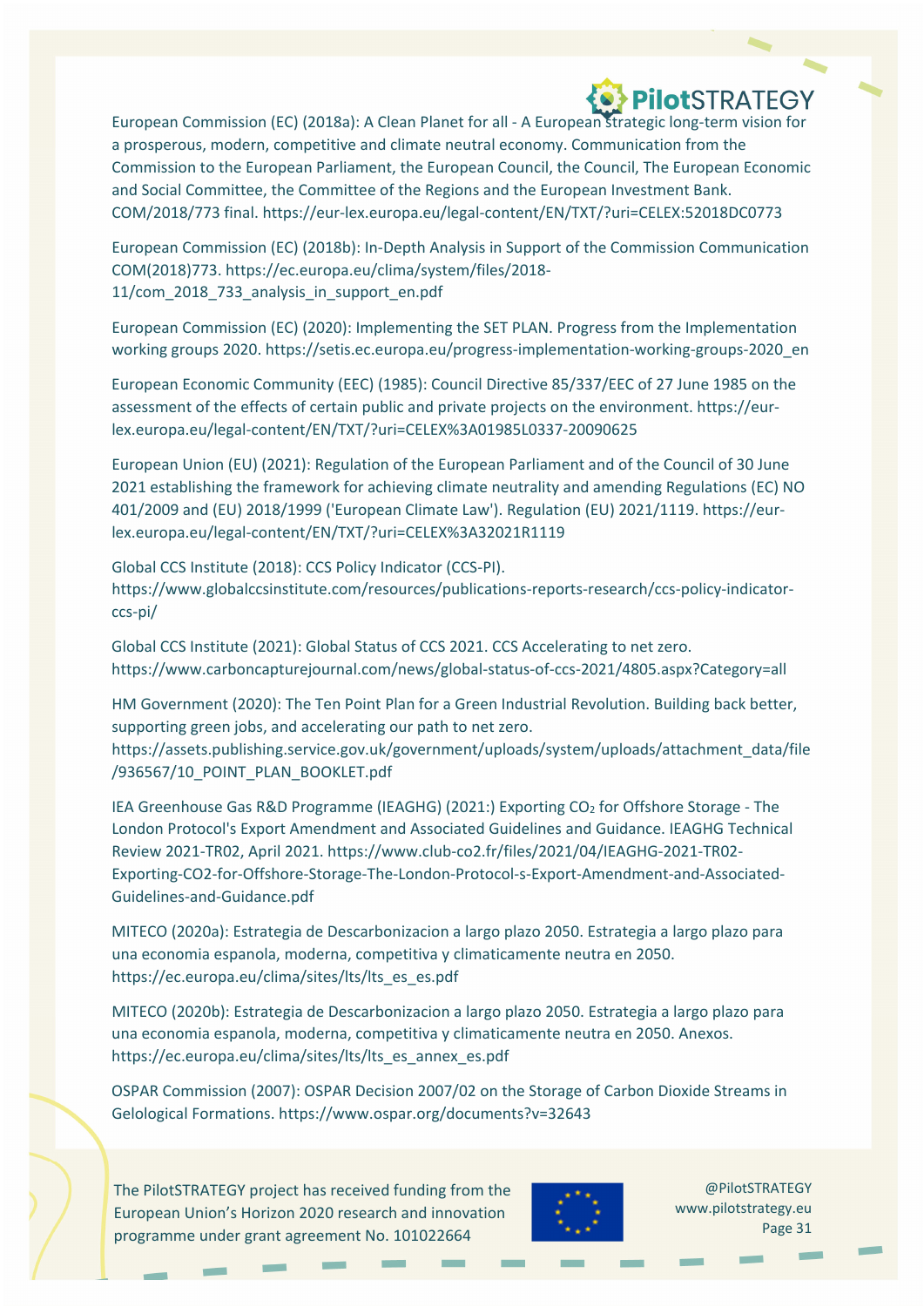European Commission (EC) (2018a): A Clean Planet for all ‐ A European strategic long‐term vision for a prosperous, modern, competitive and climate neutral economy. Communication from the Commission to the European Parliament, the European Council, the Council, The European Economic and Social Committee, the Committee of the Regions and the European Investment Bank. COM/2018/773 final. https://eur‐lex.europa.eu/legal‐content/EN/TXT/?uri=CELEX:52018DC0773

European Commission (EC) (2018b): In‐Depth Analysis in Support of the Commission Communication COM(2018)773. https://ec.europa.eu/clima/system/files/2018‐ 11/com\_2018\_733\_analysis\_in\_support\_en.pdf

European Commission (EC) (2020): Implementing the SET PLAN. Progress from the Implementation working groups 2020. https://setis.ec.europa.eu/progress-implementation-working-groups-2020\_en

European Economic Community (EEC) (1985): Council Directive 85/337/EEC of 27 June 1985 on the assessment of the effects of certain public and private projects on the environment. https://eurlex.europa.eu/legal‐content/EN/TXT/?uri=CELEX%3A01985L0337‐20090625

European Union (EU) (2021): Regulation of the European Parliament and of the Council of 30 June 2021 establishing the framework for achieving climate neutrality and amending Regulations (EC) NO 401/2009 and (EU) 2018/1999 ('European Climate Law'). Regulation (EU) 2021/1119. https://eur‐ lex.europa.eu/legal‐content/EN/TXT/?uri=CELEX%3A32021R1119

Global CCS Institute (2018): CCS Policy Indicator (CCS‐PI). https://www.globalccsinstitute.com/resources/publications‐reports‐research/ccs‐policy‐indicator‐ ccs‐pi/

Global CCS Institute (2021): Global Status of CCS 2021. CCS Accelerating to net zero. https://www.carboncapturejournal.com/news/global‐status‐of‐ccs‐2021/4805.aspx?Category=all

HM Government (2020): The Ten Point Plan for a Green Industrial Revolution. Building back better, supporting green jobs, and accelerating our path to net zero.

https://assets.publishing.service.gov.uk/government/uploads/system/uploads/attachment\_data/file /936567/10\_POINT\_PLAN\_BOOKLET.pdf

IEA Greenhouse Gas R&D Programme (IEAGHG) (2021:) Exporting CO<sub>2</sub> for Offshore Storage - The London Protocol's Export Amendment and Associated Guidelines and Guidance. IEAGHG Technical Review 2021‐TR02, April 2021. https://www.club‐co2.fr/files/2021/04/IEAGHG‐2021‐TR02‐ Exporting‐CO2‐for‐Offshore‐Storage‐The‐London‐Protocol‐s‐Export‐Amendment‐and‐Associated‐ Guidelines‐and‐Guidance.pdf

MITECO (2020a): Estrategia de Descarbonizacion a largo plazo 2050. Estrategia a largo plazo para una economia espanola, moderna, competitiva y climaticamente neutra en 2050. https://ec.europa.eu/clima/sites/lts/lts\_es\_es.pdf

MITECO (2020b): Estrategia de Descarbonizacion a largo plazo 2050. Estrategia a largo plazo para una economia espanola, moderna, competitiva y climaticamente neutra en 2050. Anexos. https://ec.europa.eu/clima/sites/lts/lts\_es\_annex\_es.pdf

OSPAR Commission (2007): OSPAR Decision 2007/02 on the Storage of Carbon Dioxide Streams in Gelological Formations. https://www.ospar.org/documents?v=32643

The PilotSTRATEGY project has received funding from the European Union's Horizon 2020 research and innovation programme under grant agreement No. 101022664